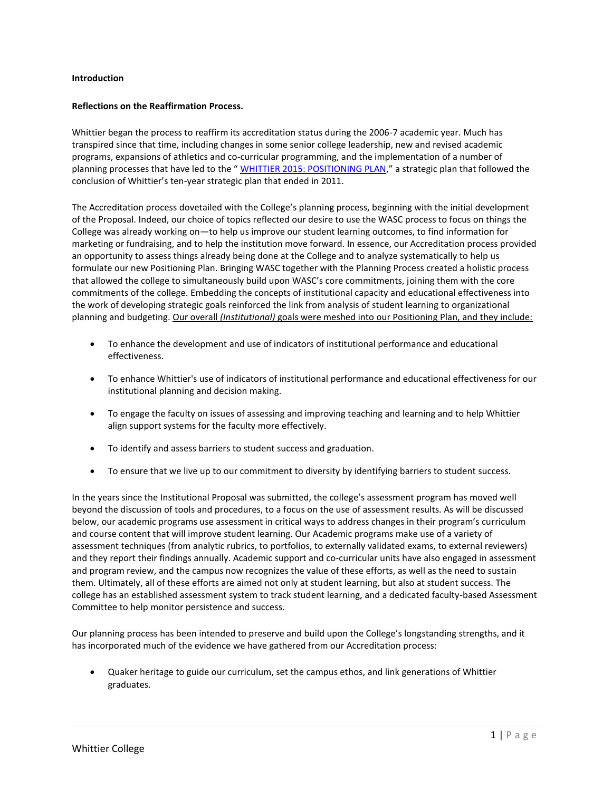#### **Introduction**

#### **Reflections on the Reaffirmation Process.**

Whittier began the process to reaffirm its accreditation status during the 2006-7 academic year. Much has transpired since that time, including changes in some senior college leadership, new and revised academic programs, expansions of athletics and co-curricular programming, and the implementation of a number of planning processes that have led to the " WHITTIER 2015: POSITIONING PLAN," a strategic plan that followed the conclusion of Whittier's ten-year strategic plan that ended in 2011.

The Accreditation process dovetailed with the College's planning process, beginning with the initial development of the Proposal. Indeed, our choice of topics reflected our desire to use the WASC process to focus on things the College was already working on—to help us improve our student learning outcomes, to find information for marketing or fundraising, and to help the institution move forward. In essence, our Accreditation process provided an opportunity to assess things already being done at the College and to analyze systematically to help us formulate our new Positioning Plan. Bringing WASC together with the Planning Process created a holistic process that allowed the college to simultaneously build upon WASC's core commitments, joining them with the core commitments of the college. Embedding the concepts of institutional capacity and educational effectiveness into the work of developing strategic goals reinforced the link from analysis of student learning to organizational planning and budgeting. Our overall *(Institutional)* goals were meshed into our Positioning Plan, and they include:

- To enhance the development and use of indicators of institutional performance and educational effectiveness.
- To enhance Whittier's use of indicators of institutional performance and educational effectiveness for our institutional planning and decision making.
- To engage the faculty on issues of assessing and improving teaching and learning and to help Whittier align support systems for the faculty more effectively.
- To identify and assess barriers to student success and graduation.
- To ensure that we live up to our commitment to diversity by identifying barriers to student success.

In the years since the Institutional Proposal was submitted, the college's assessment program has moved well beyond the discussion of tools and procedures, to a focus on the use of assessment results. As will be discussed below, our academic programs use assessment in critical ways to address changes in their program's curriculum and course content that will improve student learning. Our Academic programs make use of a variety of assessment techniques (from analytic rubrics, to portfolios, to externally validated exams, to external reviewers) and they report their findings annually. Academic support and co-curricular units have also engaged in assessment and program review, and the campus now recognizes the value of these efforts, as well as the need to sustain them. Ultimately, all of these efforts are aimed not only at student learning, but also at student success. The college has an established assessment system to track student learning, and a dedicated faculty-based Assessment Committee to help monitor persistence and success.

Our planning process has been intended to preserve and build upon the College's longstanding strengths, and it has incorporated much of the evidence we have gathered from our Accreditation process:

 Quaker heritage to guide our curriculum, set the campus ethos, and link generations of Whittier graduates.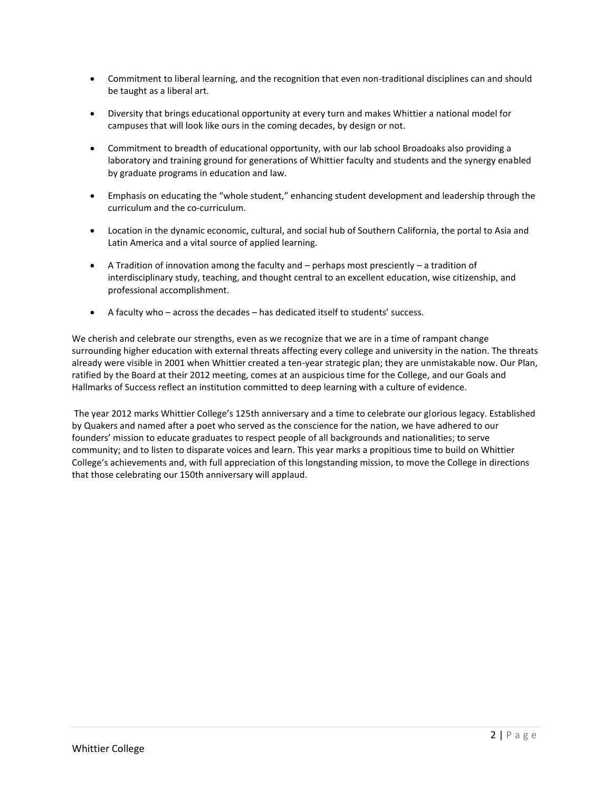- Commitment to liberal learning, and the recognition that even non-traditional disciplines can and should be taught as a liberal art.
- Diversity that brings educational opportunity at every turn and makes Whittier a national model for campuses that will look like ours in the coming decades, by design or not.
- Commitment to breadth of educational opportunity, with our lab school Broadoaks also providing a laboratory and training ground for generations of Whittier faculty and students and the synergy enabled by graduate programs in education and law.
- Emphasis on educating the "whole student," enhancing student development and leadership through the curriculum and the co-curriculum.
- Location in the dynamic economic, cultural, and social hub of Southern California, the portal to Asia and Latin America and a vital source of applied learning.
- A Tradition of innovation among the faculty and perhaps most presciently a tradition of interdisciplinary study, teaching, and thought central to an excellent education, wise citizenship, and professional accomplishment.
- A faculty who across the decades has dedicated itself to students' success.

We cherish and celebrate our strengths, even as we recognize that we are in a time of rampant change surrounding higher education with external threats affecting every college and university in the nation. The threats already were visible in 2001 when Whittier created a ten-year strategic plan; they are unmistakable now. Our Plan, ratified by the Board at their 2012 meeting, comes at an auspicious time for the College, and our Goals and Hallmarks of Success reflect an institution committed to deep learning with a culture of evidence.

The year 2012 marks Whittier College's 125th anniversary and a time to celebrate our glorious legacy. Established by Quakers and named after a poet who served as the conscience for the nation, we have adhered to our founders' mission to educate graduates to respect people of all backgrounds and nationalities; to serve community; and to listen to disparate voices and learn. This year marks a propitious time to build on Whittier College's achievements and, with full appreciation of this longstanding mission, to move the College in directions that those celebrating our 150th anniversary will applaud.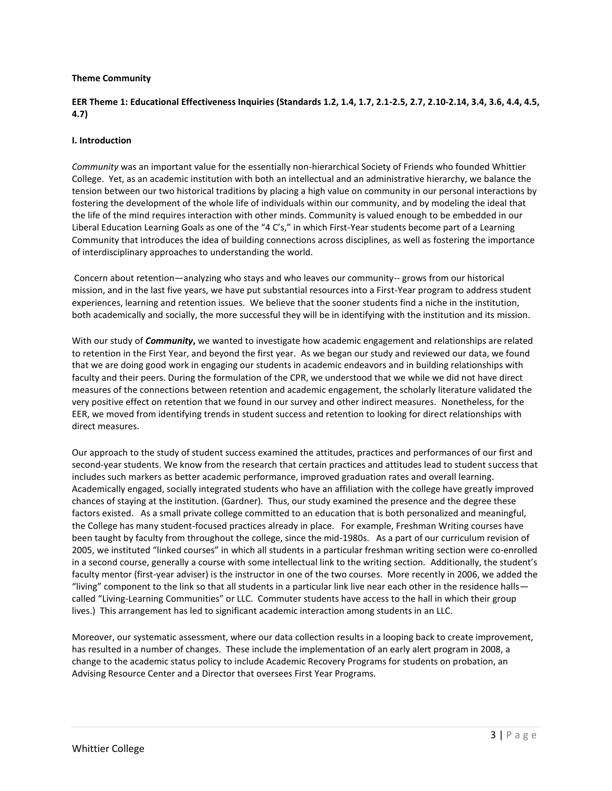#### **Theme Community**

# **EER Theme 1: Educational Effectiveness Inquiries (Standards 1.2, 1.4, 1.7, 2.1-2.5, 2.7, 2.10-2.14, 3.4, 3.6, 4.4, 4.5, 4.7)**

#### **I. Introduction**

*Community* was an important value for the essentially non-hierarchical Society of Friends who founded Whittier College. Yet, as an academic institution with both an intellectual and an administrative hierarchy, we balance the tension between our two historical traditions by placing a high value on community in our personal interactions by fostering the development of the whole life of individuals within our community, and by modeling the ideal that the life of the mind requires interaction with other minds. Community is valued enough to be embedded in our Liberal Education Learning Goals as one of the "4 C's," in which First-Year students become part of a Learning Community that introduces the idea of building connections across disciplines, as well as fostering the importance of interdisciplinary approaches to understanding the world.

Concern about retention—analyzing who stays and who leaves our community-- grows from our historical mission, and in the last five years, we have put substantial resources into a First-Year program to address student experiences, learning and retention issues. We believe that the sooner students find a niche in the institution, both academically and socially, the more successful they will be in identifying with the institution and its mission.

With our study of *Community***,** we wanted to investigate how academic engagement and relationships are related to retention in the First Year, and beyond the first year. As we began our study and reviewed our data, we found that we are doing good work in engaging our students in academic endeavors and in building relationships with faculty and their peers. During the formulation of the CPR, we understood that we while we did not have direct measures of the connections between retention and academic engagement, the scholarly literature validated the very positive effect on retention that we found in our survey and other indirect measures. Nonetheless, for the EER, we moved from identifying trends in student success and retention to looking for direct relationships with direct measures.

Our approach to the study of student success examined the attitudes, practices and performances of our first and second-year students. We know from the research that certain practices and attitudes lead to student success that includes such markers as better academic performance, improved graduation rates and overall learning. Academically engaged, socially integrated students who have an affiliation with the college have greatly improved chances of staying at the institution. (Gardner). Thus, our study examined the presence and the degree these factors existed. As a small private college committed to an education that is both personalized and meaningful, the College has many student-focused practices already in place. For example, Freshman Writing courses have been taught by faculty from throughout the college, since the mid-1980s. As a part of our curriculum revision of 2005, we instituted "linked courses" in which all students in a particular freshman writing section were co-enrolled in a second course, generally a course with some intellectual link to the writing section. Additionally, the student's faculty mentor (first-year adviser) is the instructor in one of the two courses. More recently in 2006, we added the "living" component to the link so that all students in a particular link live near each other in the residence halls called "Living-Learning Communities" or LLC. Commuter students have access to the hall in which their group lives.) This arrangement has led to significant academic interaction among students in an LLC.

Moreover, our systematic assessment, where our data collection results in a looping back to create improvement, has resulted in a number of changes. These include the implementation of an early alert program in 2008, a change to the academic status policy to include Academic Recovery Programs for students on probation, an Advising Resource Center and a Director that oversees First Year Programs.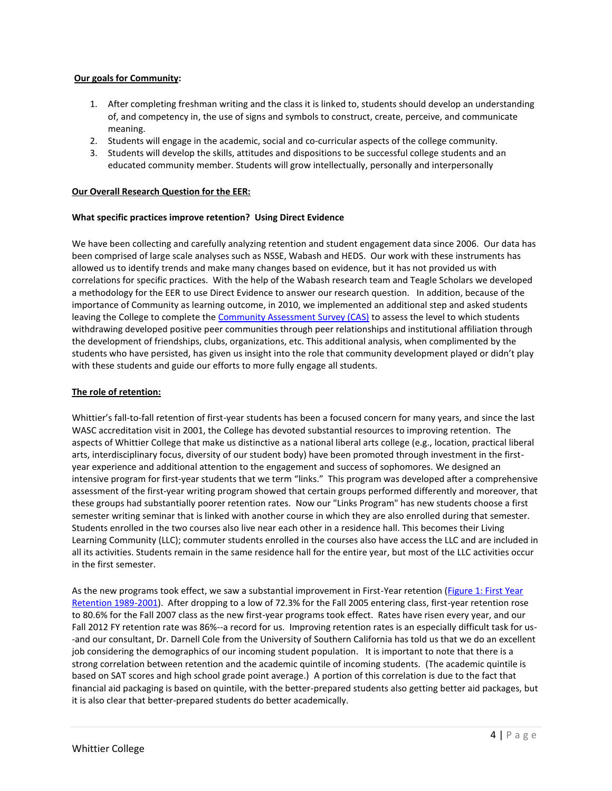#### **Our goals for Community:**

- 1. After completing freshman writing and the class it is linked to, students should develop an understanding of, and competency in, the use of signs and symbols to construct, create, perceive, and communicate meaning.
- 2. Students will engage in the academic, social and co-curricular aspects of the college community.
- 3. Students will develop the skills, attitudes and dispositions to be successful college students and an educated community member. Students will grow intellectually, personally and interpersonally

# **Our Overall Research Question for the EER:**

#### **What specific practices improve retention? Using Direct Evidence**

We have been collecting and carefully analyzing retention and student engagement data since 2006. Our data has been comprised of large scale analyses such as NSSE, Wabash and HEDS. Our work with these instruments has allowed us to identify trends and make many changes based on evidence, but it has not provided us with correlations for specific practices. With the help of the Wabash research team and Teagle Scholars we developed a methodology for the EER to use Direct Evidence to answer our research question. In addition, because of the importance of Community as learning outcome, in 2010, we implemented an additional step and asked students leaving the College to complete the Community Assessment Survey (CAS) to assess the level to which students withdrawing developed positive peer communities through peer relationships and institutional affiliation through the development of friendships, clubs, organizations, etc. This additional analysis, when complimented by the students who have persisted, has given us insight into the role that community development played or didn't play with these students and guide our efforts to more fully engage all students.

#### **The role of retention:**

Whittier's fall-to-fall retention of first-year students has been a focused concern for many years, and since the last WASC accreditation visit in 2001, the College has devoted substantial resources to improving retention. The aspects of Whittier College that make us distinctive as a national liberal arts college (e.g., location, practical liberal arts, interdisciplinary focus, diversity of our student body) have been promoted through investment in the firstyear experience and additional attention to the engagement and success of sophomores. We designed an intensive program for first-year students that we term "links." This program was developed after a comprehensive assessment of the first-year writing program showed that certain groups performed differently and moreover, that these groups had substantially poorer retention rates. Now our "Links Program" has new students choose a first semester writing seminar that is linked with another course in which they are also enrolled during that semester. Students enrolled in the two courses also live near each other in a residence hall. This becomes their Living Learning Community (LLC); commuter students enrolled in the courses also have access the LLC and are included in all its activities. Students remain in the same residence hall for the entire year, but most of the LLC activities occur in the first semester.

As the new programs took effect, we saw a substantial improvement in First-Year retention (Figure 1: First Year Retention 1989-2001). After dropping to a low of 72.3% for the Fall 2005 entering class, first-year retention rose to 80.6% for the Fall 2007 class as the new first-year programs took effect. Rates have risen every year, and our Fall 2012 FY retention rate was 86%--a record for us. Improving retention rates is an especially difficult task for us- -and our consultant, Dr. Darnell Cole from the University of Southern California has told us that we do an excellent job considering the demographics of our incoming student population. It is important to note that there is a strong correlation between retention and the academic quintile of incoming students. (The academic quintile is based on SAT scores and high school grade point average.) A portion of this correlation is due to the fact that financial aid packaging is based on quintile, with the better-prepared students also getting better aid packages, but it is also clear that better-prepared students do better academically.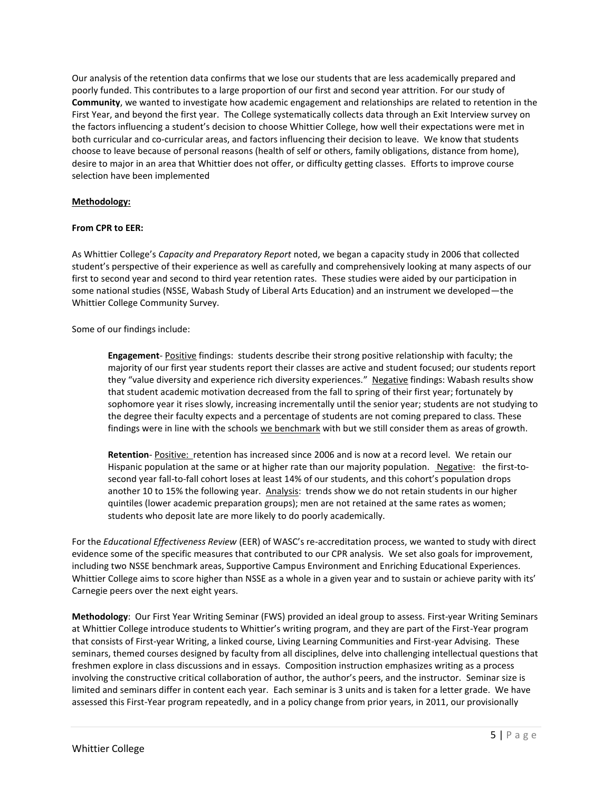Our analysis of the retention data confirms that we lose our students that are less academically prepared and poorly funded. This contributes to a large proportion of our first and second year attrition. For our study of **Community**, we wanted to investigate how academic engagement and relationships are related to retention in the First Year, and beyond the first year. The College systematically collects data through an Exit Interview survey on the factors influencing a student's decision to choose Whittier College, how well their expectations were met in both curricular and co-curricular areas, and factors influencing their decision to leave. We know that students choose to leave because of personal reasons (health of self or others, family obligations, distance from home), desire to major in an area that Whittier does not offer, or difficulty getting classes. Efforts to improve course selection have been implemented

#### **Methodology:**

#### **From CPR to EER:**

As Whittier College's *Capacity and Preparatory Report* noted, we began a capacity study in 2006 that collected student's perspective of their experience as well as carefully and comprehensively looking at many aspects of our first to second year and second to third year retention rates. These studies were aided by our participation in some national studies (NSSE, Wabash Study of Liberal Arts Education) and an instrument we developed—the Whittier College Community Survey.

Some of our findings include:

**Engagement**- Positive findings: students describe their strong positive relationship with faculty; the majority of our first year students report their classes are active and student focused; our students report they "value diversity and experience rich diversity experiences." Negative findings: Wabash results show that student academic motivation decreased from the fall to spring of their first year; fortunately by sophomore year it rises slowly, increasing incrementally until the senior year; students are not studying to the degree their faculty expects and a percentage of students are not coming prepared to class. These findings were in line with the schools we benchmark with but we still consider them as areas of growth.

**Retention**- Positive: retention has increased since 2006 and is now at a record level. We retain our Hispanic population at the same or at higher rate than our majority population. Negative: the first-tosecond year fall-to-fall cohort loses at least 14% of our students, and this cohort's population drops another 10 to 15% the following year. Analysis: trends show we do not retain students in our higher quintiles (lower academic preparation groups); men are not retained at the same rates as women; students who deposit late are more likely to do poorly academically.

For the *Educational Effectiveness Review* (EER) of WASC's re-accreditation process, we wanted to study with direct evidence some of the specific measures that contributed to our CPR analysis. We set also goals for improvement, including two NSSE benchmark areas, Supportive Campus Environment and Enriching Educational Experiences. Whittier College aims to score higher than NSSE as a whole in a given year and to sustain or achieve parity with its' Carnegie peers over the next eight years.

**Methodology**: Our First Year Writing Seminar (FWS) provided an ideal group to assess. First-year Writing Seminars at Whittier College introduce students to Whittier's writing program, and they are part of the First-Year program that consists of First-year Writing, a linked course, Living Learning Communities and First-year Advising. These seminars, themed courses designed by faculty from all disciplines, delve into challenging intellectual questions that freshmen explore in class discussions and in essays. Composition instruction emphasizes writing as a process involving the constructive critical collaboration of author, the author's peers, and the instructor. Seminar size is limited and seminars differ in content each year. Each seminar is 3 units and is taken for a letter grade. We have assessed this First-Year program repeatedly, and in a policy change from prior years, in 2011, our provisionally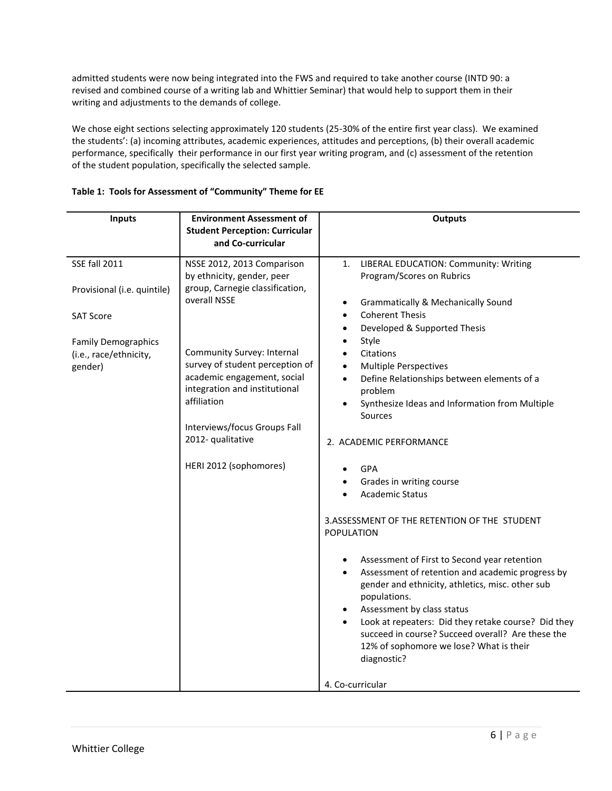admitted students were now being integrated into the FWS and required to take another course (INTD 90: a revised and combined course of a writing lab and Whittier Seminar) that would help to support them in their writing and adjustments to the demands of college.

We chose eight sections selecting approximately 120 students (25-30% of the entire first year class). We examined the students': (a) incoming attributes, academic experiences, attitudes and perceptions, (b) their overall academic performance, specifically their performance in our first year writing program, and (c) assessment of the retention of the student population, specifically the selected sample.

| <b>Inputs</b>                                                                                                                              | <b>Environment Assessment of</b><br><b>Student Perception: Curricular</b><br>and Co-curricular                                                                                                                                                                                                                                             | <b>Outputs</b>                                                                                                                                                                                                                                                                                                                                                                                                                                                                                                                                                                                                                                                                                                                                                                                                                                                                                                                                                                                                         |
|--------------------------------------------------------------------------------------------------------------------------------------------|--------------------------------------------------------------------------------------------------------------------------------------------------------------------------------------------------------------------------------------------------------------------------------------------------------------------------------------------|------------------------------------------------------------------------------------------------------------------------------------------------------------------------------------------------------------------------------------------------------------------------------------------------------------------------------------------------------------------------------------------------------------------------------------------------------------------------------------------------------------------------------------------------------------------------------------------------------------------------------------------------------------------------------------------------------------------------------------------------------------------------------------------------------------------------------------------------------------------------------------------------------------------------------------------------------------------------------------------------------------------------|
| <b>SSE fall 2011</b><br>Provisional (i.e. quintile)<br><b>SAT Score</b><br><b>Family Demographics</b><br>(i.e., race/ethnicity,<br>gender) | NSSE 2012, 2013 Comparison<br>by ethnicity, gender, peer<br>group, Carnegie classification,<br>overall NSSE<br>Community Survey: Internal<br>survey of student perception of<br>academic engagement, social<br>integration and institutional<br>affiliation<br>Interviews/focus Groups Fall<br>2012- qualitative<br>HERI 2012 (sophomores) | LIBERAL EDUCATION: Community: Writing<br>1.<br>Program/Scores on Rubrics<br><b>Grammatically &amp; Mechanically Sound</b><br>$\bullet$<br><b>Coherent Thesis</b><br>$\bullet$<br>Developed & Supported Thesis<br>Style<br>Citations<br><b>Multiple Perspectives</b><br>$\bullet$<br>Define Relationships between elements of a<br>$\bullet$<br>problem<br>Synthesize Ideas and Information from Multiple<br>$\bullet$<br>Sources<br>2. ACADEMIC PERFORMANCE<br>GPA<br>Grades in writing course<br><b>Academic Status</b><br>3.ASSESSMENT OF THE RETENTION OF THE STUDENT<br>POPULATION<br>Assessment of First to Second year retention<br>$\bullet$<br>Assessment of retention and academic progress by<br>$\bullet$<br>gender and ethnicity, athletics, misc. other sub<br>populations.<br>Assessment by class status<br>$\bullet$<br>Look at repeaters: Did they retake course? Did they<br>$\bullet$<br>succeed in course? Succeed overall? Are these the<br>12% of sophomore we lose? What is their<br>diagnostic? |
|                                                                                                                                            |                                                                                                                                                                                                                                                                                                                                            | 4. Co-curricular                                                                                                                                                                                                                                                                                                                                                                                                                                                                                                                                                                                                                                                                                                                                                                                                                                                                                                                                                                                                       |

# **Table 1: Tools for Assessment of "Community" Theme for EE**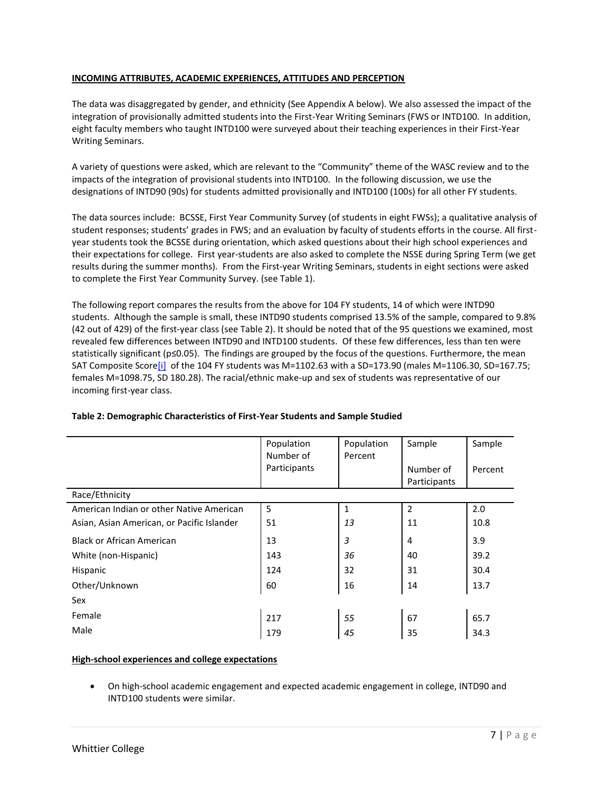# **INCOMING ATTRIBUTES, ACADEMIC EXPERIENCES, ATTITUDES AND PERCEPTION**

The data was disaggregated by gender, and ethnicity (See Appendix A below). We also assessed the impact of the integration of provisionally admitted students into the First-Year Writing Seminars (FWS or INTD100. In addition, eight faculty members who taught INTD100 were surveyed about their teaching experiences in their First-Year Writing Seminars.

A variety of questions were asked, which are relevant to the "Community" theme of the WASC review and to the impacts of the integration of provisional students into INTD100. In the following discussion, we use the designations of INTD90 (90s) for students admitted provisionally and INTD100 (100s) for all other FY students.

The data sources include: BCSSE, First Year Community Survey (of students in eight FWSs); a qualitative analysis of student responses; students' grades in FWS; and an evaluation by faculty of students efforts in the course. All firstyear students took the BCSSE during orientation, which asked questions about their high school experiences and their expectations for college. First year-students are also asked to complete the NSSE during Spring Term (we get results during the summer months). From the First-year Writing Seminars, students in eight sections were asked to complete the First Year Community Survey. (see Table 1).

The following report compares the results from the above for 104 FY students, 14 of which were INTD90 students. Although the sample is small, these INTD90 students comprised 13.5% of the sample, compared to 9.8% (42 out of 429) of the first-year class (see Table 2). It should be noted that of the 95 questions we examined, most revealed few differences between INTD90 and INTD100 students. Of these few differences, less than ten were statistically significant (p≤0.05). The findings are grouped by the focus of the questions. Furthermore, the mean SAT Composite Score[i] of the 104 FY students was M=1102.63 with a SD=173.90 (males M=1106.30, SD=167.75; females M=1098.75, SD 180.28). The racial/ethnic make-up and sex of students was representative of our incoming first-year class.

|                                            | Population<br>Number of<br>Participants | Population<br>Percent | Sample<br>Number of<br>Participants | Sample<br>Percent |
|--------------------------------------------|-----------------------------------------|-----------------------|-------------------------------------|-------------------|
| Race/Ethnicity                             |                                         |                       |                                     |                   |
| American Indian or other Native American   | 5                                       | $\mathbf{1}$          | $\overline{2}$                      | 2.0               |
| Asian, Asian American, or Pacific Islander | 51                                      | 13                    | 11                                  | 10.8              |
| <b>Black or African American</b>           | 13                                      | 3                     | $\overline{4}$                      | 3.9               |
| White (non-Hispanic)                       | 143                                     | 36                    | 40                                  | 39.2              |
| <b>Hispanic</b>                            | 124                                     | 32                    | 31                                  | 30.4              |
| Other/Unknown                              | 60                                      | 16                    | 14                                  | 13.7              |
| Sex                                        |                                         |                       |                                     |                   |
| Female                                     | 217                                     | 55                    | 67                                  | 65.7              |
| Male                                       | 179                                     | 45                    | 35                                  | 34.3              |

# **Table 2: Demographic Characteristics of First-Year Students and Sample Studied**

# **High-school experiences and college expectations**

 On high-school academic engagement and expected academic engagement in college, INTD90 and INTD100 students were similar.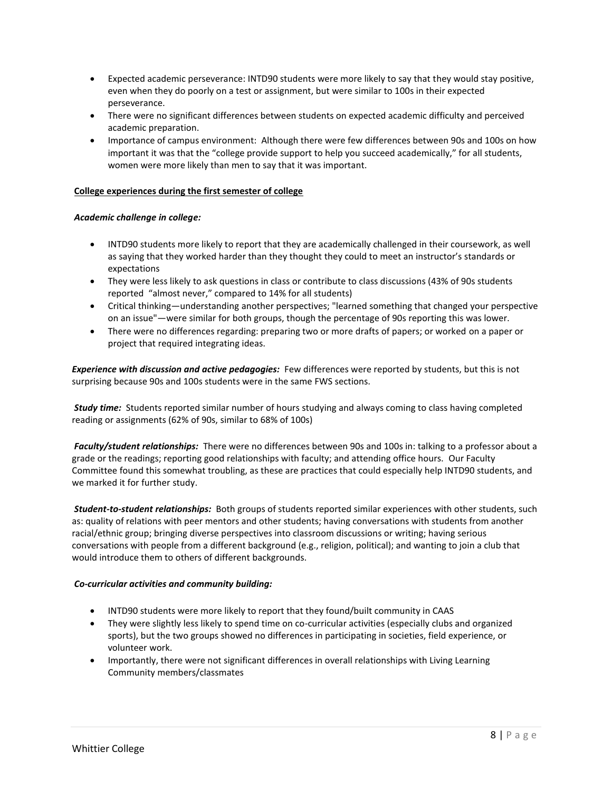- Expected academic perseverance: INTD90 students were more likely to say that they would stay positive, even when they do poorly on a test or assignment, but were similar to 100s in their expected perseverance.
- There were no significant differences between students on expected academic difficulty and perceived academic preparation.
- Importance of campus environment: Although there were few differences between 90s and 100s on how important it was that the "college provide support to help you succeed academically," for all students, women were more likely than men to say that it was important.

# **College experiences during the first semester of college**

# *Academic challenge in college:*

- INTD90 students more likely to report that they are academically challenged in their coursework, as well as saying that they worked harder than they thought they could to meet an instructor's standards or expectations
- They were less likely to ask questions in class or contribute to class discussions (43% of 90s students reported "almost never," compared to 14% for all students)
- Critical thinking—understanding another perspectives; "learned something that changed your perspective on an issue"—were similar for both groups, though the percentage of 90s reporting this was lower.
- There were no differences regarding: preparing two or more drafts of papers; or worked on a paper or project that required integrating ideas.

*Experience with discussion and active pedagogies:* Few differences were reported by students, but this is not surprising because 90s and 100s students were in the same FWS sections.

*Study time:* Students reported similar number of hours studying and always coming to class having completed reading or assignments (62% of 90s, similar to 68% of 100s)

*Faculty/student relationships:* There were no differences between 90s and 100s in: talking to a professor about a grade or the readings; reporting good relationships with faculty; and attending office hours. Our Faculty Committee found this somewhat troubling, as these are practices that could especially help INTD90 students, and we marked it for further study.

*Student-to-student relationships:* Both groups of students reported similar experiences with other students, such as: quality of relations with peer mentors and other students; having conversations with students from another racial/ethnic group; bringing diverse perspectives into classroom discussions or writing; having serious conversations with people from a different background (e.g., religion, political); and wanting to join a club that would introduce them to others of different backgrounds.

#### *Co-curricular activities and community building:*

- INTD90 students were more likely to report that they found/built community in CAAS
- They were slightly less likely to spend time on co-curricular activities (especially clubs and organized sports), but the two groups showed no differences in participating in societies, field experience, or volunteer work.
- Importantly, there were not significant differences in overall relationships with Living Learning Community members/classmates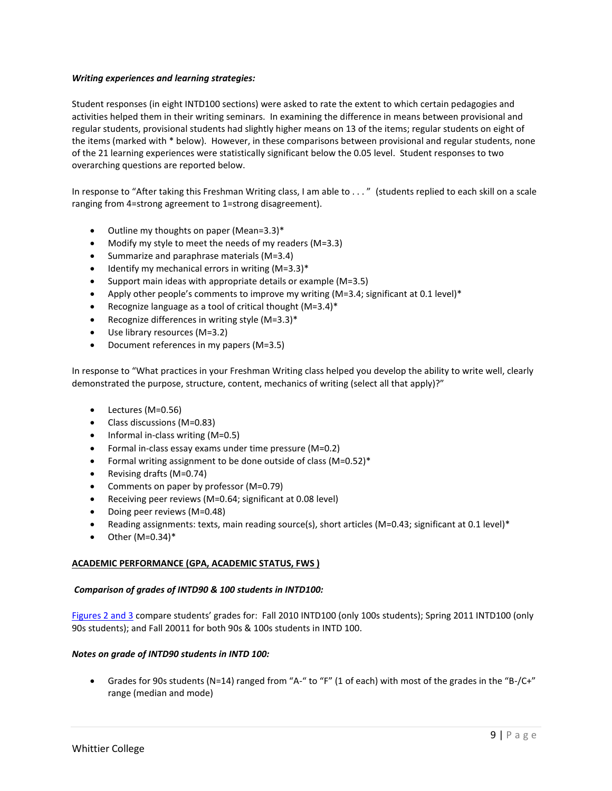#### *Writing experiences and learning strategies:*

Student responses (in eight INTD100 sections) were asked to rate the extent to which certain pedagogies and activities helped them in their writing seminars. In examining the difference in means between provisional and regular students, provisional students had slightly higher means on 13 of the items; regular students on eight of the items (marked with \* below). However, in these comparisons between provisional and regular students, none of the 21 learning experiences were statistically significant below the 0.05 level. Student responses to two overarching questions are reported below.

In response to "After taking this Freshman Writing class, I am able to . . . " (students replied to each skill on a scale ranging from 4=strong agreement to 1=strong disagreement).

- Outline my thoughts on paper (Mean=3.3)\*
- Modify my style to meet the needs of my readers (M=3.3)
- $\bullet$  Summarize and paraphrase materials (M=3.4)
- Identify my mechanical errors in writing  $(M=3.3)$ <sup>\*</sup>
- $\bullet$  Support main ideas with appropriate details or example (M=3.5)
- Apply other people's comments to improve my writing  $(M=3.4;$  significant at 0.1 level)\*
- Recognize language as a tool of critical thought (M=3.4)\*
- Recognize differences in writing style  $(M=3.3)$ <sup>\*</sup>
- Use library resources (M=3.2)
- Document references in my papers (M=3.5)

In response to "What practices in your Freshman Writing class helped you develop the ability to write well, clearly demonstrated the purpose, structure, content, mechanics of writing (select all that apply)?"

- Lectures (M=0.56)
- Class discussions (M=0.83)
- $\bullet$  Informal in-class writing (M=0.5)
- Formal in-class essay exams under time pressure (M=0.2)
- Formal writing assignment to be done outside of class (M=0.52)\*
- Revising drafts (M=0.74)
- Comments on paper by professor (M=0.79)
- Receiving peer reviews (M=0.64; significant at 0.08 level)
- Doing peer reviews (M=0.48)
- Reading assignments: texts, main reading source(s), short articles (M=0.43; significant at 0.1 level)\*
- Other (M=0.34)\*

# **ACADEMIC PERFORMANCE (GPA, ACADEMIC STATUS, FWS )**

# *Comparison of grades of INTD90 & 100 students in INTD100:*

Figures 2 and 3 compare students' grades for: Fall 2010 INTD100 (only 100s students); Spring 2011 INTD100 (only 90s students); and Fall 20011 for both 90s & 100s students in INTD 100.

#### *Notes on grade of INTD90 students in INTD 100:*

 Grades for 90s students (N=14) ranged from "A-" to "F" (1 of each) with most of the grades in the "B-/C+" range (median and mode)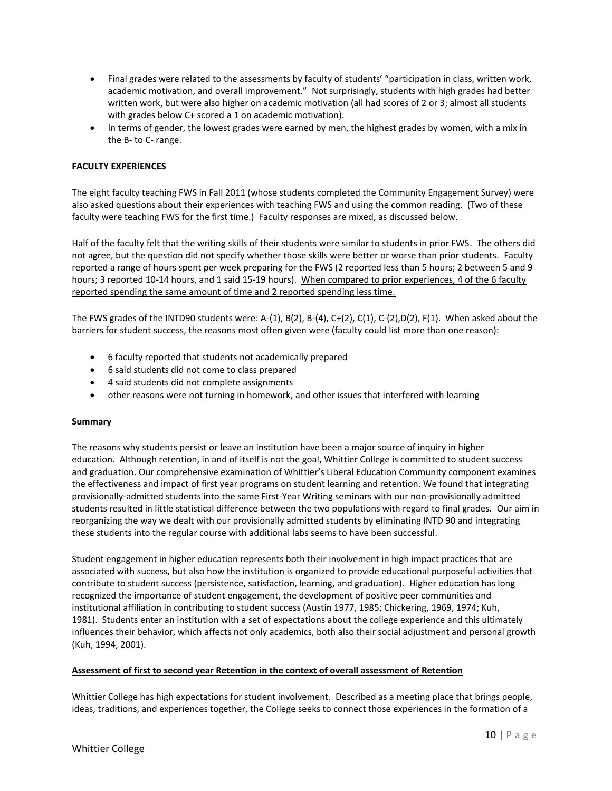- Final grades were related to the assessments by faculty of students' "participation in class, written work, academic motivation, and overall improvement." Not surprisingly, students with high grades had better written work, but were also higher on academic motivation (all had scores of 2 or 3; almost all students with grades below C+ scored a 1 on academic motivation).
- In terms of gender, the lowest grades were earned by men, the highest grades by women, with a mix in the B- to C- range.

# **FACULTY EXPERIENCES**

The eight faculty teaching FWS in Fall 2011 (whose students completed the Community Engagement Survey) were also asked questions about their experiences with teaching FWS and using the common reading. (Two of these faculty were teaching FWS for the first time.) Faculty responses are mixed, as discussed below.

Half of the faculty felt that the writing skills of their students were similar to students in prior FWS. The others did not agree, but the question did not specify whether those skills were better or worse than prior students. Faculty reported a range of hours spent per week preparing for the FWS (2 reported less than 5 hours; 2 between 5 and 9 hours; 3 reported 10-14 hours, and 1 said 15-19 hours). When compared to prior experiences, 4 of the 6 faculty reported spending the same amount of time and 2 reported spending less time.

The FWS grades of the INTD90 students were: A-(1), B(2), B-(4), C+(2), C(1), C-(2),D(2), F(1). When asked about the barriers for student success, the reasons most often given were (faculty could list more than one reason):

- 6 faculty reported that students not academically prepared
- 6 said students did not come to class prepared
- 4 said students did not complete assignments
- other reasons were not turning in homework, and other issues that interfered with learning

#### **Summary**

The reasons why students persist or leave an institution have been a major source of inquiry in higher education. Although retention, in and of itself is not the goal, Whittier College is committed to student success and graduation. Our comprehensive examination of Whittier's Liberal Education Community component examines the effectiveness and impact of first year programs on student learning and retention. We found that integrating provisionally-admitted students into the same First-Year Writing seminars with our non-provisionally admitted students resulted in little statistical difference between the two populations with regard to final grades. Our aim in reorganizing the way we dealt with our provisionally admitted students by eliminating INTD 90 and integrating these students into the regular course with additional labs seems to have been successful.

Student engagement in higher education represents both their involvement in high impact practices that are associated with success, but also how the institution is organized to provide educational purposeful activities that contribute to student success (persistence, satisfaction, learning, and graduation). Higher education has long recognized the importance of student engagement, the development of positive peer communities and institutional affiliation in contributing to student success (Austin 1977, 1985; Chickering, 1969, 1974; Kuh, 1981). Students enter an institution with a set of expectations about the college experience and this ultimately influences their behavior, which affects not only academics, both also their social adjustment and personal growth (Kuh, 1994, 2001).

#### **Assessment of first to second year Retention in the context of overall assessment of Retention**

Whittier College has high expectations for student involvement. Described as a meeting place that brings people, ideas, traditions, and experiences together, the College seeks to connect those experiences in the formation of a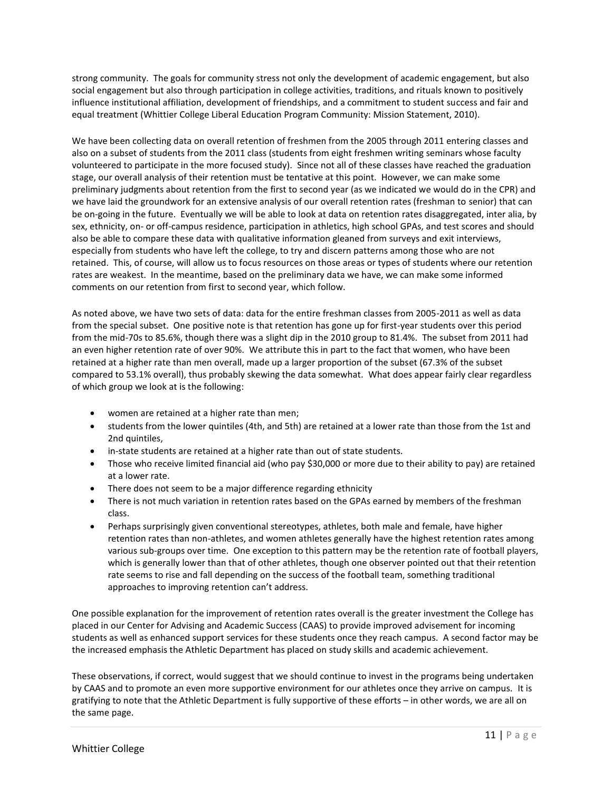strong community. The goals for community stress not only the development of academic engagement, but also social engagement but also through participation in college activities, traditions, and rituals known to positively influence institutional affiliation, development of friendships, and a commitment to student success and fair and equal treatment (Whittier College Liberal Education Program Community: Mission Statement, 2010).

We have been collecting data on overall retention of freshmen from the 2005 through 2011 entering classes and also on a subset of students from the 2011 class (students from eight freshmen writing seminars whose faculty volunteered to participate in the more focused study). Since not all of these classes have reached the graduation stage, our overall analysis of their retention must be tentative at this point. However, we can make some preliminary judgments about retention from the first to second year (as we indicated we would do in the CPR) and we have laid the groundwork for an extensive analysis of our overall retention rates (freshman to senior) that can be on-going in the future. Eventually we will be able to look at data on retention rates disaggregated, inter alia, by sex, ethnicity, on- or off-campus residence, participation in athletics, high school GPAs, and test scores and should also be able to compare these data with qualitative information gleaned from surveys and exit interviews, especially from students who have left the college, to try and discern patterns among those who are not retained. This, of course, will allow us to focus resources on those areas or types of students where our retention rates are weakest. In the meantime, based on the preliminary data we have, we can make some informed comments on our retention from first to second year, which follow.

As noted above, we have two sets of data: data for the entire freshman classes from 2005-2011 as well as data from the special subset. One positive note is that retention has gone up for first-year students over this period from the mid-70s to 85.6%, though there was a slight dip in the 2010 group to 81.4%. The subset from 2011 had an even higher retention rate of over 90%. We attribute this in part to the fact that women, who have been retained at a higher rate than men overall, made up a larger proportion of the subset (67.3% of the subset compared to 53.1% overall), thus probably skewing the data somewhat. What does appear fairly clear regardless of which group we look at is the following:

- women are retained at a higher rate than men;
- students from the lower quintiles (4th, and 5th) are retained at a lower rate than those from the 1st and 2nd quintiles,
- in-state students are retained at a higher rate than out of state students.
- Those who receive limited financial aid (who pay \$30,000 or more due to their ability to pay) are retained at a lower rate.
- There does not seem to be a major difference regarding ethnicity
- There is not much variation in retention rates based on the GPAs earned by members of the freshman class.
- Perhaps surprisingly given conventional stereotypes, athletes, both male and female, have higher retention rates than non-athletes, and women athletes generally have the highest retention rates among various sub-groups over time. One exception to this pattern may be the retention rate of football players, which is generally lower than that of other athletes, though one observer pointed out that their retention rate seems to rise and fall depending on the success of the football team, something traditional approaches to improving retention can't address.

One possible explanation for the improvement of retention rates overall is the greater investment the College has placed in our Center for Advising and Academic Success (CAAS) to provide improved advisement for incoming students as well as enhanced support services for these students once they reach campus. A second factor may be the increased emphasis the Athletic Department has placed on study skills and academic achievement.

These observations, if correct, would suggest that we should continue to invest in the programs being undertaken by CAAS and to promote an even more supportive environment for our athletes once they arrive on campus. It is gratifying to note that the Athletic Department is fully supportive of these efforts – in other words, we are all on the same page.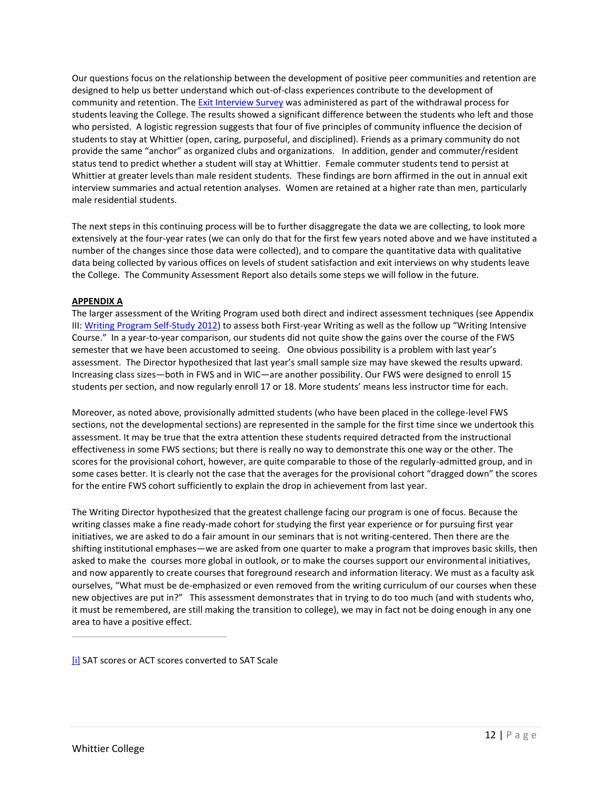Our questions focus on the relationship between the development of positive peer communities and retention are designed to help us better understand which out-of-class experiences contribute to the development of community and retention. The Exit Interview Survey was administered as part of the withdrawal process for students leaving the College. The results showed a significant difference between the students who left and those who persisted. A logistic regression suggests that four of five principles of community influence the decision of students to stay at Whittier (open, caring, purposeful, and disciplined). Friends as a primary community do not provide the same "anchor" as organized clubs and organizations. In addition, gender and commuter/resident status tend to predict whether a student will stay at Whittier. Female commuter students tend to persist at Whittier at greater levels than male resident students. These findings are born affirmed in the out in annual exit interview summaries and actual retention analyses. Women are retained at a higher rate than men, particularly male residential students.

The next steps in this continuing process will be to further disaggregate the data we are collecting, to look more extensively at the four-year rates (we can only do that for the first few years noted above and we have instituted a number of the changes since those data were collected), and to compare the quantitative data with qualitative data being collected by various offices on levels of student satisfaction and exit interviews on why students leave the College. The Community Assessment Report also details some steps we will follow in the future.

# **APPENDIX A**

The larger assessment of the Writing Program used both direct and indirect assessment techniques (see Appendix III: Writing Program Self-Study 2012) to assess both First-year Writing as well as the follow up "Writing Intensive Course." In a year-to-year comparison, our students did not quite show the gains over the course of the FWS semester that we have been accustomed to seeing. One obvious possibility is a problem with last year's assessment. The Director hypothesized that last year's small sample size may have skewed the results upward. Increasing class sizes—both in FWS and in WIC—are another possibility. Our FWS were designed to enroll 15 students per section, and now regularly enroll 17 or 18. More students' means less instructor time for each.

Moreover, as noted above, provisionally admitted students (who have been placed in the college-level FWS sections, not the developmental sections) are represented in the sample for the first time since we undertook this assessment. It may be true that the extra attention these students required detracted from the instructional effectiveness in some FWS sections; but there is really no way to demonstrate this one way or the other. The scores for the provisional cohort, however, are quite comparable to those of the regularly-admitted group, and in some cases better. It is clearly not the case that the averages for the provisional cohort "dragged down" the scores for the entire FWS cohort sufficiently to explain the drop in achievement from last year.

The Writing Director hypothesized that the greatest challenge facing our program is one of focus. Because the writing classes make a fine ready-made cohort for studying the first year experience or for pursuing first year initiatives, we are asked to do a fair amount in our seminars that is not writing-centered. Then there are the shifting institutional emphases—we are asked from one quarter to make a program that improves basic skills, then asked to make the courses more global in outlook, or to make the courses support our environmental initiatives, and now apparently to create courses that foreground research and information literacy. We must as a faculty ask ourselves, "What must be de-emphasized or even removed from the writing curriculum of our courses when these new objectives are put in?" This assessment demonstrates that in trying to do too much (and with students who, it must be remembered, are still making the transition to college), we may in fact not be doing enough in any one area to have a positive effect.

[\[i\]](https://whittier.compliance-assist.com/Accreditation/library-page.aspx?action=edit&id=22a7b793-b517-e211-bb86-d639cd757391&source-url=%2fAccreditation%2flibrary-page.aspx%3fid%3d22a7b793-b517-e211-bb86-d639cd757391#_ednref1) SAT scores or ACT scores converted to SAT Scale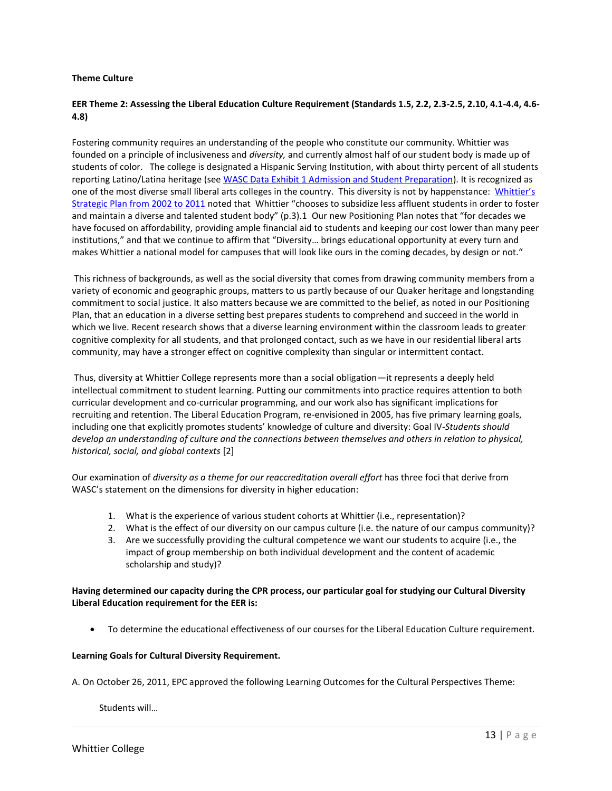#### **Theme Culture**

# **EER Theme 2: Assessing the Liberal Education Culture Requirement (Standards 1.5, 2.2, 2.3-2.5, 2.10, 4.1-4.4, 4.6- 4.8)**

Fostering community requires an understanding of the people who constitute our community. Whittier was founded on a principle of inclusiveness and *diversity,* and currently almost half of our student body is made up of students of color. The college is designated a Hispanic Serving Institution, with about thirty percent of all students reporting Latino/Latina heritage (see WASC Data Exhibit 1 Admission and Student Preparation). It is recognized as one of the most diverse small liberal arts colleges in the country. This diversity is not by happenstance: Whittier's Strategic Plan from 2002 to 2011 noted that Whittier "chooses to subsidize less affluent students in order to foster and maintain a diverse and talented student body" (p.3).1 Our new Positioning Plan notes that "for decades we have focused on affordability, providing ample financial aid to students and keeping our cost lower than many peer institutions," and that we continue to affirm that "Diversity… brings educational opportunity at every turn and makes Whittier a national model for campuses that will look like ours in the coming decades, by design or not."

This richness of backgrounds, as well as the social diversity that comes from drawing community members from a variety of economic and geographic groups, matters to us partly because of our Quaker heritage and longstanding commitment to social justice. It also matters because we are committed to the belief, as noted in our Positioning Plan, that an education in a diverse setting best prepares students to comprehend and succeed in the world in which we live. Recent research shows that a diverse learning environment within the classroom leads to greater cognitive complexity for all students, and that prolonged contact, such as we have in our residential liberal arts community, may have a stronger effect on cognitive complexity than singular or intermittent contact.

Thus, diversity at Whittier College represents more than a social obligation—it represents a deeply held intellectual commitment to student learning. Putting our commitments into practice requires attention to both curricular development and co-curricular programming, and our work also has significant implications for recruiting and retention. The Liberal Education Program, re-envisioned in 2005, has five primary learning goals, including one that explicitly promotes students' knowledge of culture and diversity: Goal IV-*Students should develop an understanding of culture and the connections between themselves and others in relation to physical, historical, social, and global contexts* [2]

Our examination of *diversity as a theme for our reaccreditation overall effort* has three foci that derive from WASC's statement on the dimensions for diversity in higher education:

- 1. What is the experience of various student cohorts at Whittier (i.e., representation)?
- 2. What is the effect of our diversity on our campus culture (i.e. the nature of our campus community)?
- 3. Are we successfully providing the cultural competence we want our students to acquire (i.e., the impact of group membership on both individual development and the content of academic scholarship and study)?

# **Having determined our capacity during the CPR process, our particular goal for studying our Cultural Diversity Liberal Education requirement for the EER is:**

To determine the educational effectiveness of our courses for the Liberal Education Culture requirement.

# **Learning Goals for Cultural Diversity Requirement.**

A. On October 26, 2011, EPC approved the following Learning Outcomes for the Cultural Perspectives Theme:

Students will…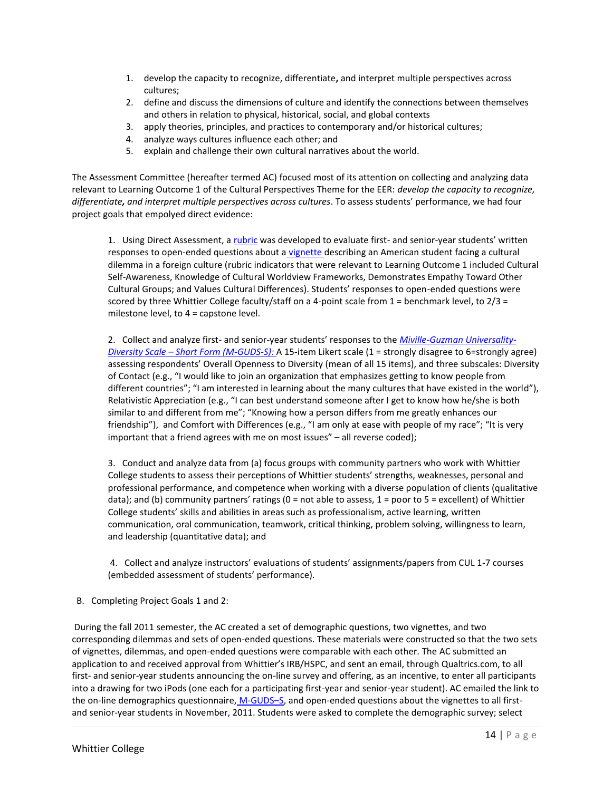- 1. develop the capacity to recognize, differentiate**,** and interpret multiple perspectives across cultures;
- 2. define and discuss the dimensions of culture and identify the connections between themselves and others in relation to physical, historical, social, and global contexts
- 3. apply theories, principles, and practices to contemporary and/or historical cultures;
- 4. analyze ways cultures influence each other; and
- 5. explain and challenge their own cultural narratives about the world.

The Assessment Committee (hereafter termed AC) focused most of its attention on collecting and analyzing data relevant to Learning Outcome 1 of the Cultural Perspectives Theme for the EER: *develop the capacity to recognize, differentiate, and interpret multiple perspectives across cultures*. To assess students' performance, we had four project goals that empolyed direct evidence:

1. Using Direct Assessment, a rubric was developed to evaluate first- and senior-year students' written responses to open-ended questions about a vignette describing an American student facing a cultural dilemma in a foreign culture (rubric indicators that were relevant to Learning Outcome 1 included Cultural Self-Awareness, Knowledge of Cultural Worldview Frameworks, Demonstrates Empathy Toward Other Cultural Groups; and Values Cultural Differences). Students' responses to open-ended questions were scored by three Whittier College faculty/staff on a 4-point scale from  $1$  = benchmark level, to  $2/3$  = milestone level, to 4 = capstone level.

2. Collect and analyze first- and senior-year students' responses to the *Miville-Guzman Universality-Diversity Scale – Short Form (M-GUDS-S):* A 15-item Likert scale (1 = strongly disagree to 6=strongly agree) assessing respondents' Overall Openness to Diversity (mean of all 15 items), and three subscales: Diversity of Contact (e.g., "I would like to join an organization that emphasizes getting to know people from different countries"; "I am interested in learning about the many cultures that have existed in the world"), Relativistic Appreciation (e.g., "I can best understand someone after I get to know how he/she is both similar to and different from me"; "Knowing how a person differs from me greatly enhances our friendship"), and Comfort with Differences (e.g., "I am only at ease with people of my race"; "It is very important that a friend agrees with me on most issues" – all reverse coded);

3. Conduct and analyze data from (a) focus groups with community partners who work with Whittier College students to assess their perceptions of Whittier students' strengths, weaknesses, personal and professional performance, and competence when working with a diverse population of clients (qualitative data); and (b) community partners' ratings ( $0 =$  not able to assess,  $1 =$  poor to  $5 =$  excellent) of Whittier College students' skills and abilities in areas such as professionalism, active learning, written communication, oral communication, teamwork, critical thinking, problem solving, willingness to learn, and leadership (quantitative data); and

4. Collect and analyze instructors' evaluations of students' assignments/papers from CUL 1-7 courses (embedded assessment of students' performance).

B. Completing Project Goals 1 and 2:

During the fall 2011 semester, the AC created a set of demographic questions, two vignettes, and two corresponding dilemmas and sets of open-ended questions. These materials were constructed so that the two sets of vignettes, dilemmas, and open-ended questions were comparable with each other. The AC submitted an application to and received approval from Whittier's IRB/HSPC, and sent an email, through Qualtrics.com, to all first- and senior-year students announcing the on-line survey and offering, as an incentive, to enter all participants into a drawing for two iPods (one each for a participating first-year and senior-year student). AC emailed the link to the on-line demographics questionnaire, M-GUDS-S, and open-ended questions about the vignettes to all firstand senior-year students in November, 2011. Students were asked to complete the demographic survey; select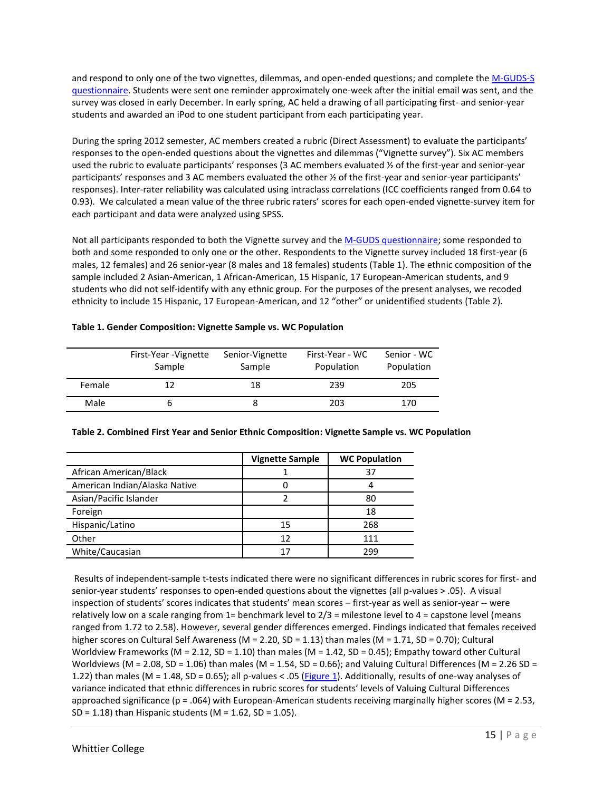and respond to only one of the two vignettes, dilemmas, and open-ended questions; and complete the M-GUDS-S questionnaire. Students were sent one reminder approximately one-week after the initial email was sent, and the survey was closed in early December. In early spring, AC held a drawing of all participating first- and senior-year students and awarded an iPod to one student participant from each participating year.

During the spring 2012 semester, AC members created a rubric (Direct Assessment) to evaluate the participants' responses to the open-ended questions about the vignettes and dilemmas ("Vignette survey"). Six AC members used the rubric to evaluate participants' responses (3 AC members evaluated ½ of the first-year and senior-year participants' responses and 3 AC members evaluated the other ½ of the first-year and senior-year participants' responses). Inter-rater reliability was calculated using intraclass correlations (ICC coefficients ranged from 0.64 to 0.93). We calculated a mean value of the three rubric raters' scores for each open-ended vignette-survey item for each participant and data were analyzed using SPSS.

Not all participants responded to both the Vignette survey and the M-GUDS questionnaire; some responded to both and some responded to only one or the other. Respondents to the Vignette survey included 18 first-year (6 males, 12 females) and 26 senior-year (8 males and 18 females) students (Table 1). The ethnic composition of the sample included 2 Asian-American, 1 African-American, 15 Hispanic, 17 European-American students, and 9 students who did not self-identify with any ethnic group. For the purposes of the present analyses, we recoded ethnicity to include 15 Hispanic, 17 European-American, and 12 "other" or unidentified students (Table 2).

# **Table 1. Gender Composition: Vignette Sample vs. WC Population**

|        | First-Year - Vignette<br>Sample | Senior-Vignette<br>Sample | First-Year - WC<br>Population | Senior - WC<br>Population |
|--------|---------------------------------|---------------------------|-------------------------------|---------------------------|
| Female |                                 | 18                        | 239                           | 205                       |
| Male   | b                               |                           | 203                           | 170                       |

|                               | <b>Vignette Sample</b> | <b>WC Population</b> |
|-------------------------------|------------------------|----------------------|
| African American/Black        |                        | 37                   |
| American Indian/Alaska Native |                        | 4                    |
| Asian/Pacific Islander        |                        | 80                   |
| Foreign                       |                        | 18                   |
| Hispanic/Latino               | 15                     | 268                  |
| Other                         | 12                     | 111                  |
| White/Caucasian               |                        | 299                  |

# **Table 2. Combined First Year and Senior Ethnic Composition: Vignette Sample vs. WC Population**

Results of independent-sample t-tests indicated there were no significant differences in rubric scores for first- and senior-year students' responses to open-ended questions about the vignettes (all p-values > .05). A visual inspection of students' scores indicates that students' mean scores – first-year as well as senior-year -- were relatively low on a scale ranging from 1= benchmark level to 2/3 = milestone level to 4 = capstone level (means ranged from 1.72 to 2.58). However, several gender differences emerged. Findings indicated that females received higher scores on Cultural Self Awareness (M = 2.20, SD = 1.13) than males (M = 1.71, SD = 0.70); Cultural Worldview Frameworks (M = 2.12, SD = 1.10) than males (M = 1.42, SD = 0.45); Empathy toward other Cultural Worldviews (M = 2.08, SD = 1.06) than males (M = 1.54, SD = 0.66); and Valuing Cultural Differences (M = 2.26 SD = 1.22) than males (M = 1.48, SD = 0.65); all p-values < .05 (Figure 1). Additionally, results of one-way analyses of variance indicated that ethnic differences in rubric scores for students' levels of Valuing Cultural Differences approached significance ( $p = .064$ ) with European-American students receiving marginally higher scores (M = 2.53, SD = 1.18) than Hispanic students ( $M = 1.62$ , SD = 1.05).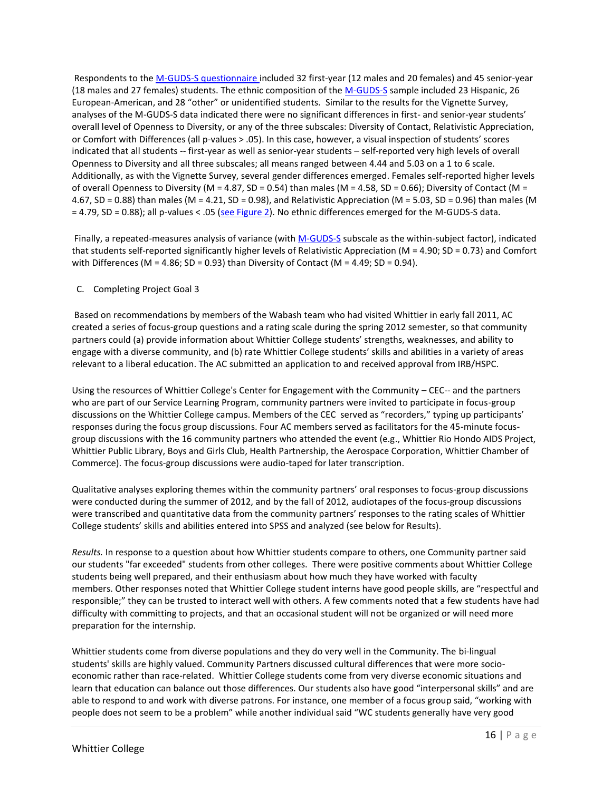Respondents to the M-GUDS-S questionnaire included 32 first-year (12 males and 20 females) and 45 senior-year (18 males and 27 females) students. The ethnic composition of the M-GUDS-S sample included 23 Hispanic, 26 European-American, and 28 "other" or unidentified students. Similar to the results for the Vignette Survey, analyses of the M-GUDS-S data indicated there were no significant differences in first- and senior-year students' overall level of Openness to Diversity, or any of the three subscales: Diversity of Contact, Relativistic Appreciation, or Comfort with Differences (all p-values > .05). In this case, however, a visual inspection of students' scores indicated that all students -- first-year as well as senior-year students – self-reported very high levels of overall Openness to Diversity and all three subscales; all means ranged between 4.44 and 5.03 on a 1 to 6 scale. Additionally, as with the Vignette Survey, several gender differences emerged. Females self-reported higher levels of overall Openness to Diversity (M = 4.87, SD = 0.54) than males (M = 4.58, SD = 0.66); Diversity of Contact (M = 4.67, SD = 0.88) than males (M = 4.21, SD = 0.98), and Relativistic Appreciation (M = 5.03, SD = 0.96) than males (M = 4.79, SD = 0.88); all p-values < .05 (see Figure 2). No ethnic differences emerged for the M-GUDS-S data.

Finally, a repeated-measures analysis of variance (with M-GUDS-S subscale as the within-subject factor), indicated that students self-reported significantly higher levels of Relativistic Appreciation ( $M = 4.90$ ; SD = 0.73) and Comfort with Differences (M = 4.86; SD = 0.93) than Diversity of Contact (M = 4.49; SD = 0.94).

#### C. Completing Project Goal 3

Based on recommendations by members of the Wabash team who had visited Whittier in early fall 2011, AC created a series of focus-group questions and a rating scale during the spring 2012 semester, so that community partners could (a) provide information about Whittier College students' strengths, weaknesses, and ability to engage with a diverse community, and (b) rate Whittier College students' skills and abilities in a variety of areas relevant to a liberal education. The AC submitted an application to and received approval from IRB/HSPC.

Using the resources of Whittier College's Center for Engagement with the Community – CEC-- and the partners who are part of our Service Learning Program, community partners were invited to participate in focus-group discussions on the Whittier College campus. Members of the CEC served as "recorders," typing up participants' responses during the focus group discussions. Four AC members served as facilitators for the 45-minute focusgroup discussions with the 16 community partners who attended the event (e.g., Whittier Rio Hondo AIDS Project, Whittier Public Library, Boys and Girls Club, Health Partnership, the Aerospace Corporation, Whittier Chamber of Commerce). The focus-group discussions were audio-taped for later transcription.

Qualitative analyses exploring themes within the community partners' oral responses to focus-group discussions were conducted during the summer of 2012, and by the fall of 2012, audiotapes of the focus-group discussions were transcribed and quantitative data from the community partners' responses to the rating scales of Whittier College students' skills and abilities entered into SPSS and analyzed (see below for Results).

*Results.* In response to a question about how Whittier students compare to others, one Community partner said our students "far exceeded" students from other colleges. There were positive comments about Whittier College students being well prepared, and their enthusiasm about how much they have worked with faculty members. Other responses noted that Whittier College student interns have good people skills, are "respectful and responsible;" they can be trusted to interact well with others. A few comments noted that a few students have had difficulty with committing to projects, and that an occasional student will not be organized or will need more preparation for the internship.

Whittier students come from diverse populations and they do very well in the Community. The bi-lingual students' skills are highly valued. Community Partners discussed cultural differences that were more socioeconomic rather than race-related. Whittier College students come from very diverse economic situations and learn that education can balance out those differences. Our students also have good "interpersonal skills" and are able to respond to and work with diverse patrons. For instance, one member of a focus group said, "working with people does not seem to be a problem" while another individual said "WC students generally have very good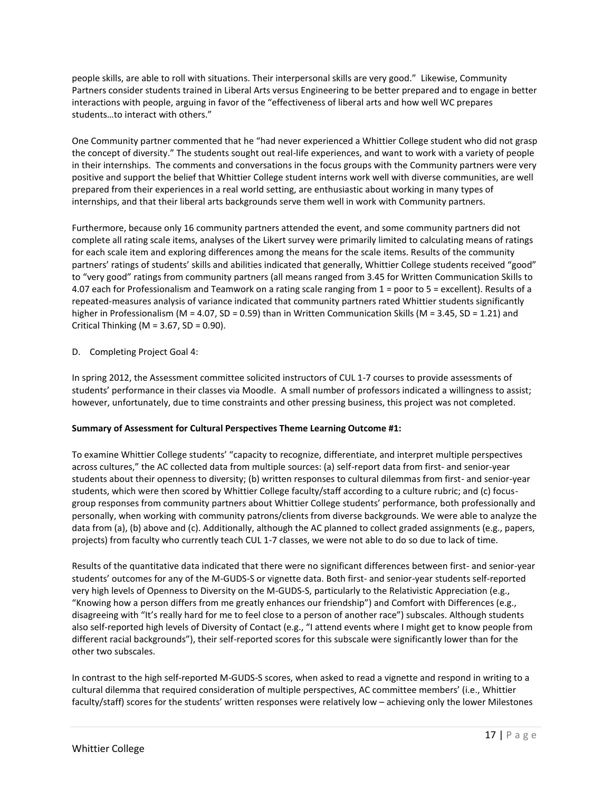people skills, are able to roll with situations. Their interpersonal skills are very good." Likewise, Community Partners consider students trained in Liberal Arts versus Engineering to be better prepared and to engage in better interactions with people, arguing in favor of the "effectiveness of liberal arts and how well WC prepares students…to interact with others."

One Community partner commented that he "had never experienced a Whittier College student who did not grasp the concept of diversity." The students sought out real-life experiences, and want to work with a variety of people in their internships. The comments and conversations in the focus groups with the Community partners were very positive and support the belief that Whittier College student interns work well with diverse communities, are well prepared from their experiences in a real world setting, are enthusiastic about working in many types of internships, and that their liberal arts backgrounds serve them well in work with Community partners.

Furthermore, because only 16 community partners attended the event, and some community partners did not complete all rating scale items, analyses of the Likert survey were primarily limited to calculating means of ratings for each scale item and exploring differences among the means for the scale items. Results of the community partners' ratings of students' skills and abilities indicated that generally, Whittier College students received "good" to "very good" ratings from community partners (all means ranged from 3.45 for Written Communication Skills to 4.07 each for Professionalism and Teamwork on a rating scale ranging from 1 = poor to 5 = excellent). Results of a repeated-measures analysis of variance indicated that community partners rated Whittier students significantly higher in Professionalism (M = 4.07, SD = 0.59) than in Written Communication Skills (M = 3.45, SD = 1.21) and Critical Thinking ( $M = 3.67$ , SD = 0.90).

# D. Completing Project Goal 4:

In spring 2012, the Assessment committee solicited instructors of CUL 1-7 courses to provide assessments of students' performance in their classes via Moodle. A small number of professors indicated a willingness to assist; however, unfortunately, due to time constraints and other pressing business, this project was not completed.

# **Summary of Assessment for Cultural Perspectives Theme Learning Outcome #1:**

To examine Whittier College students' "capacity to recognize, differentiate, and interpret multiple perspectives across cultures," the AC collected data from multiple sources: (a) self-report data from first- and senior-year students about their openness to diversity; (b) written responses to cultural dilemmas from first- and senior-year students, which were then scored by Whittier College faculty/staff according to a culture rubric; and (c) focusgroup responses from community partners about Whittier College students' performance, both professionally and personally, when working with community patrons/clients from diverse backgrounds. We were able to analyze the data from (a), (b) above and (c). Additionally, although the AC planned to collect graded assignments (e.g., papers, projects) from faculty who currently teach CUL 1-7 classes, we were not able to do so due to lack of time.

Results of the quantitative data indicated that there were no significant differences between first- and senior-year students' outcomes for any of the M-GUDS-S or vignette data. Both first- and senior-year students self-reported very high levels of Openness to Diversity on the M-GUDS-S, particularly to the Relativistic Appreciation (e.g., "Knowing how a person differs from me greatly enhances our friendship") and Comfort with Differences (e.g., disagreeing with "It's really hard for me to feel close to a person of another race") subscales. Although students also self-reported high levels of Diversity of Contact (e.g., "I attend events where I might get to know people from different racial backgrounds"), their self-reported scores for this subscale were significantly lower than for the other two subscales.

In contrast to the high self-reported M-GUDS-S scores, when asked to read a vignette and respond in writing to a cultural dilemma that required consideration of multiple perspectives, AC committee members' (i.e., Whittier faculty/staff) scores for the students' written responses were relatively low – achieving only the lower Milestones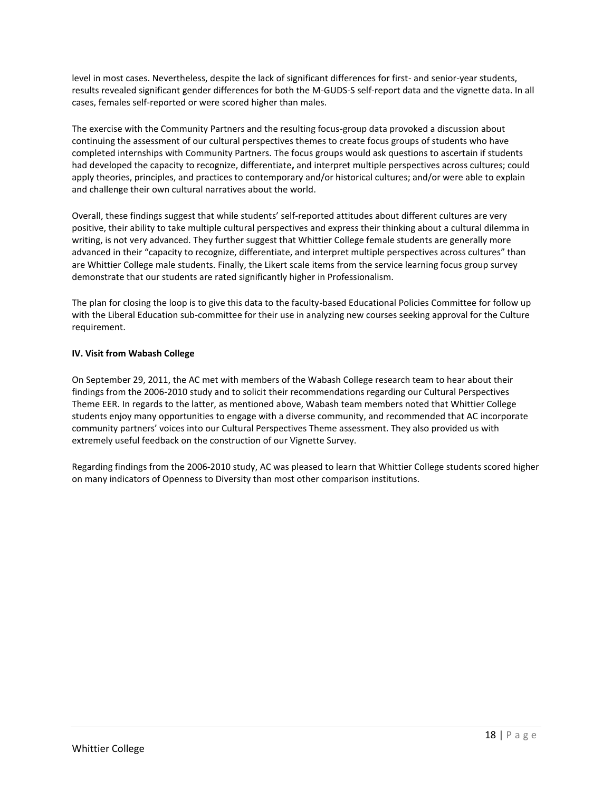level in most cases. Nevertheless, despite the lack of significant differences for first- and senior-year students, results revealed significant gender differences for both the M-GUDS-S self-report data and the vignette data. In all cases, females self-reported or were scored higher than males.

The exercise with the Community Partners and the resulting focus-group data provoked a discussion about continuing the assessment of our cultural perspectives themes to create focus groups of students who have completed internships with Community Partners. The focus groups would ask questions to ascertain if students had developed the capacity to recognize, differentiate**,** and interpret multiple perspectives across cultures; could apply theories, principles, and practices to contemporary and/or historical cultures; and/or were able to explain and challenge their own cultural narratives about the world.

Overall, these findings suggest that while students' self-reported attitudes about different cultures are very positive, their ability to take multiple cultural perspectives and express their thinking about a cultural dilemma in writing, is not very advanced. They further suggest that Whittier College female students are generally more advanced in their "capacity to recognize, differentiate, and interpret multiple perspectives across cultures" than are Whittier College male students. Finally, the Likert scale items from the service learning focus group survey demonstrate that our students are rated significantly higher in Professionalism.

The plan for closing the loop is to give this data to the faculty-based Educational Policies Committee for follow up with the Liberal Education sub-committee for their use in analyzing new courses seeking approval for the Culture requirement.

# **IV. Visit from Wabash College**

On September 29, 2011, the AC met with members of the Wabash College research team to hear about their findings from the 2006-2010 study and to solicit their recommendations regarding our Cultural Perspectives Theme EER. In regards to the latter, as mentioned above, Wabash team members noted that Whittier College students enjoy many opportunities to engage with a diverse community, and recommended that AC incorporate community partners' voices into our Cultural Perspectives Theme assessment. They also provided us with extremely useful feedback on the construction of our Vignette Survey.

Regarding findings from the 2006-2010 study, AC was pleased to learn that Whittier College students scored higher on many indicators of Openness to Diversity than most other comparison institutions.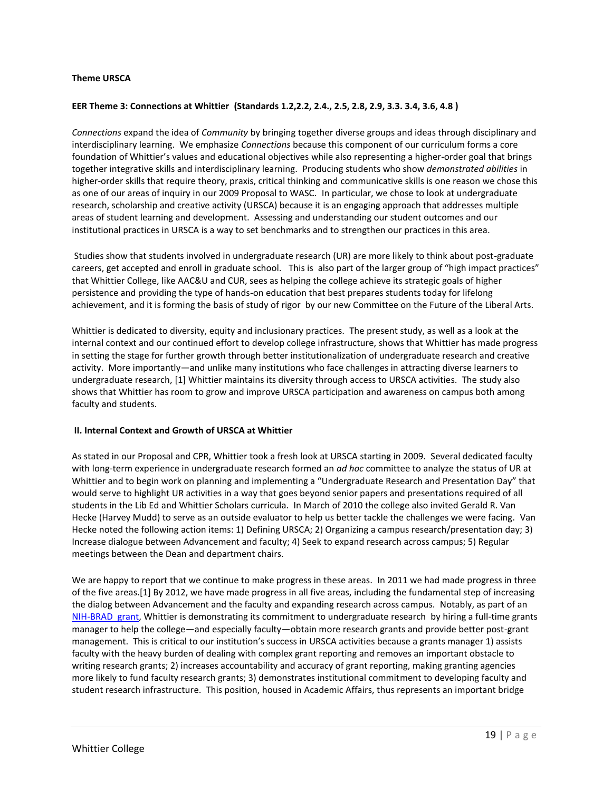#### **Theme URSCA**

#### **EER Theme 3: Connections at Whittier (Standards 1.2,2.2, 2.4., 2.5, 2.8, 2.9, 3.3. 3.4, 3.6, 4.8 )**

*Connections* expand the idea of *Community* by bringing together diverse groups and ideas through disciplinary and interdisciplinary learning. We emphasize *Connections* because this component of our curriculum forms a core foundation of Whittier's values and educational objectives while also representing a higher-order goal that brings together integrative skills and interdisciplinary learning. Producing students who show *demonstrated abilities* in higher-order skills that require theory, praxis, critical thinking and communicative skills is one reason we chose this as one of our areas of inquiry in our 2009 Proposal to WASC. In particular, we chose to look at undergraduate research, scholarship and creative activity (URSCA) because it is an engaging approach that addresses multiple areas of student learning and development. Assessing and understanding our student outcomes and our institutional practices in URSCA is a way to set benchmarks and to strengthen our practices in this area.

Studies show that students involved in undergraduate research (UR) are more likely to think about post-graduate careers, get accepted and enroll in graduate school. This is also part of the larger group of "high impact practices" that Whittier College, like AAC&U and CUR, sees as helping the college achieve its strategic goals of higher persistence and providing the type of hands-on education that best prepares students today for lifelong achievement, and it is forming the basis of study of rigor by our new Committee on the Future of the Liberal Arts.

Whittier is dedicated to diversity, equity and inclusionary practices. The present study, as well as a look at the internal context and our continued effort to develop college infrastructure, shows that Whittier has made progress in setting the stage for further growth through better institutionalization of undergraduate research and creative activity. More importantly—and unlike many institutions who face challenges in attracting diverse learners to undergraduate research, [1] Whittier maintains its diversity through access to URSCA activities. The study also shows that Whittier has room to grow and improve URSCA participation and awareness on campus both among faculty and students.

#### **II. Internal Context and Growth of URSCA at Whittier**

As stated in our Proposal and CPR, Whittier took a fresh look at URSCA starting in 2009. Several dedicated faculty with long-term experience in undergraduate research formed an *ad hoc* committee to analyze the status of UR at Whittier and to begin work on planning and implementing a "Undergraduate Research and Presentation Day" that would serve to highlight UR activities in a way that goes beyond senior papers and presentations required of all students in the Lib Ed and Whittier Scholars curricula. In March of 2010 the college also invited Gerald R. Van Hecke (Harvey Mudd) to serve as an outside evaluator to help us better tackle the challenges we were facing. Van Hecke noted the following action items: 1) Defining URSCA; 2) Organizing a campus research/presentation day; 3) Increase dialogue between Advancement and faculty; 4) Seek to expand research across campus; 5) Regular meetings between the Dean and department chairs.

We are happy to report that we continue to make progress in these areas. In 2011 we had made progress in three of the five areas.[1] By 2012, we have made progress in all five areas, including the fundamental step of increasing the dialog between Advancement and the faculty and expanding research across campus. Notably, as part of an NIH-BRAD grant, Whittier is demonstrating its commitment to undergraduate research by hiring a full-time grants manager to help the college—and especially faculty—obtain more research grants and provide better post-grant management. This is critical to our institution's success in URSCA activities because a grants manager 1) assists faculty with the heavy burden of dealing with complex grant reporting and removes an important obstacle to writing research grants; 2) increases accountability and accuracy of grant reporting, making granting agencies more likely to fund faculty research grants; 3) demonstrates institutional commitment to developing faculty and student research infrastructure. This position, housed in Academic Affairs, thus represents an important bridge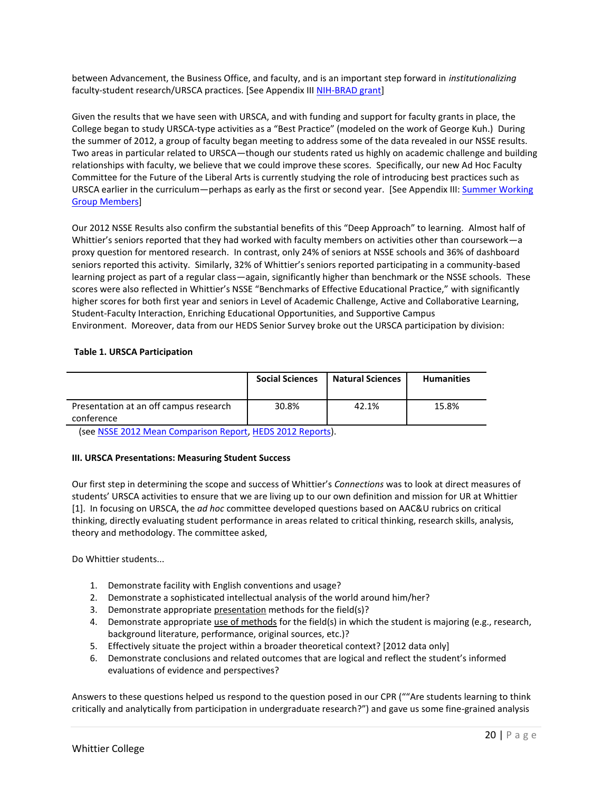between Advancement, the Business Office, and faculty, and is an important step forward in *institutionalizing* faculty-student research/URSCA practices. [See Appendix III NIH-BRAD grant]

Given the results that we have seen with URSCA, and with funding and support for faculty grants in place, the College began to study URSCA-type activities as a "Best Practice" (modeled on the work of George Kuh.) During the summer of 2012, a group of faculty began meeting to address some of the data revealed in our NSSE results. Two areas in particular related to URSCA—though our students rated us highly on academic challenge and building relationships with faculty, we believe that we could improve these scores. Specifically, our new Ad Hoc Faculty Committee for the Future of the Liberal Arts is currently studying the role of introducing best practices such as URSCA earlier in the curriculum—perhaps as early as the first or second year. [See Appendix III: Summer Working Group Members]

Our 2012 NSSE Results also confirm the substantial benefits of this "Deep Approach" to learning. Almost half of Whittier's seniors reported that they had worked with faculty members on activities other than coursework—a proxy question for mentored research. In contrast, only 24% of seniors at NSSE schools and 36% of dashboard seniors reported this activity. Similarly, 32% of Whittier's seniors reported participating in a community-based learning project as part of a regular class—again, significantly higher than benchmark or the NSSE schools. These scores were also reflected in Whittier's NSSE "Benchmarks of Effective Educational Practice," with significantly higher scores for both first year and seniors in Level of Academic Challenge, Active and Collaborative Learning, Student-Faculty Interaction, Enriching Educational Opportunities, and Supportive Campus Environment. Moreover, data from our HEDS Senior Survey broke out the URSCA participation by division:

#### **Table 1. URSCA Participation**

|                                                      | <b>Social Sciences</b> | <b>Natural Sciences</b> | <b>Humanities</b> |
|------------------------------------------------------|------------------------|-------------------------|-------------------|
| Presentation at an off campus research<br>conference | 30.8%                  | 42.1%                   | 15.8%             |

(see NSSE 2012 Mean Comparison Report, HEDS 2012 Reports).

# **III. URSCA Presentations: Measuring Student Success**

Our first step in determining the scope and success of Whittier's *Connections* was to look at direct measures of students' URSCA activities to ensure that we are living up to our own definition and mission for UR at Whittier [1]. In focusing on URSCA, the *ad hoc* committee developed questions based on AAC&U rubrics on critical thinking, directly evaluating student performance in areas related to critical thinking, research skills, analysis, theory and methodology. The committee asked,

Do Whittier students...

- 1. Demonstrate facility with English conventions and usage?
- 2. Demonstrate a sophisticated intellectual analysis of the world around him/her?
- 3. Demonstrate appropriate presentation methods for the field(s)?
- 4. Demonstrate appropriate use of methods for the field(s) in which the student is majoring (e.g., research, background literature, performance, original sources, etc.)?
- 5. Effectively situate the project within a broader theoretical context? [2012 data only]
- 6. Demonstrate conclusions and related outcomes that are logical and reflect the student's informed evaluations of evidence and perspectives?

Answers to these questions helped us respond to the question posed in our CPR (""Are students learning to think critically and analytically from participation in undergraduate research?") and gave us some fine-grained analysis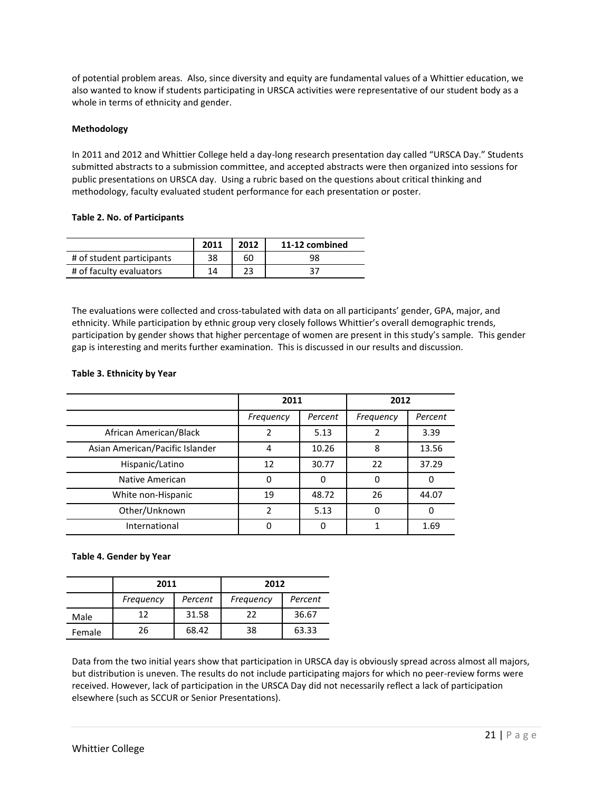of potential problem areas. Also, since diversity and equity are fundamental values of a Whittier education, we also wanted to know if students participating in URSCA activities were representative of our student body as a whole in terms of ethnicity and gender.

# **Methodology**

In 2011 and 2012 and Whittier College held a day-long research presentation day called "URSCA Day." Students submitted abstracts to a submission committee, and accepted abstracts were then organized into sessions for public presentations on URSCA day. Using a rubric based on the questions about critical thinking and methodology, faculty evaluated student performance for each presentation or poster.

#### **Table 2. No. of Participants**

|                           | 2011 | 2012 | 11-12 combined |
|---------------------------|------|------|----------------|
| # of student participants | 38   | 60   | 98             |
| # of faculty evaluators   | 14   |      | 37             |

The evaluations were collected and cross-tabulated with data on all participants' gender, GPA, major, and ethnicity. While participation by ethnic group very closely follows Whittier's overall demographic trends, participation by gender shows that higher percentage of women are present in this study's sample. This gender gap is interesting and merits further examination. This is discussed in our results and discussion.

# **Table 3. Ethnicity by Year**

|                                 | 2011          |         | 2012      |         |
|---------------------------------|---------------|---------|-----------|---------|
|                                 | Frequency     | Percent | Frequency | Percent |
| African American/Black          |               | 5.13    |           | 3.39    |
| Asian American/Pacific Islander | 4             | 10.26   | 8         | 13.56   |
| Hispanic/Latino                 | 12            | 30.77   | 22        | 37.29   |
| Native American                 | $\Omega$      |         | $\Omega$  | 0       |
| White non-Hispanic              | 19            | 48.72   | 26        | 44.07   |
| Other/Unknown                   | $\mathcal{P}$ | 5.13    | O         | 0       |
| International                   |               |         |           | 1.69    |

# **Table 4. Gender by Year**

|        | 2011      |         | 2012      |         |
|--------|-----------|---------|-----------|---------|
|        | Frequency | Percent | Frequency | Percent |
| Male   | 12        | 31.58   | 22        | 36.67   |
| Female | 26        | 68.42   | 38        | 63.33   |

Data from the two initial years show that participation in URSCA day is obviously spread across almost all majors, but distribution is uneven. The results do not include participating majors for which no peer-review forms were received. However, lack of participation in the URSCA Day did not necessarily reflect a lack of participation elsewhere (such as SCCUR or Senior Presentations).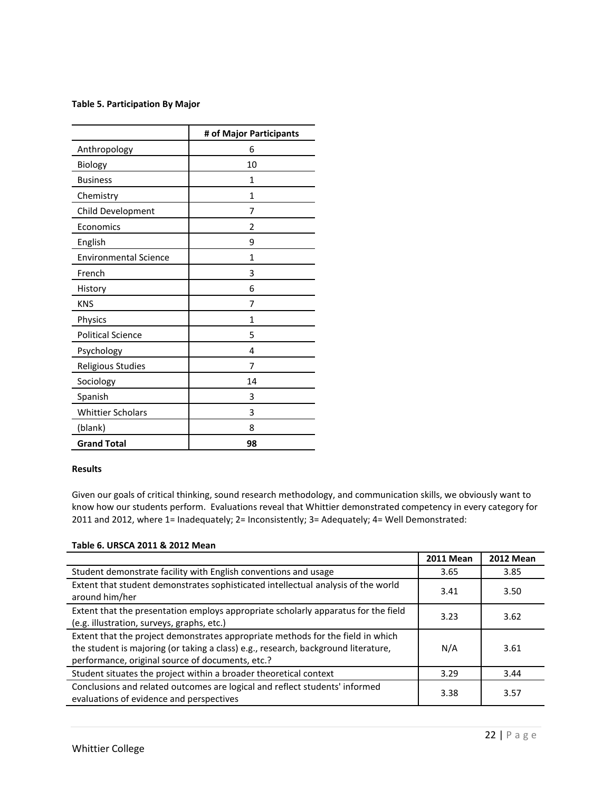#### **Table 5. Participation By Major**

|                              | # of Major Participants |
|------------------------------|-------------------------|
| Anthropology                 | 6                       |
| Biology                      | 10                      |
| <b>Business</b>              | 1                       |
| Chemistry                    | 1                       |
| Child Development            | 7                       |
| Economics                    | 2                       |
| English                      | 9                       |
| <b>Environmental Science</b> | 1                       |
| French                       | 3                       |
| History                      | 6                       |
| <b>KNS</b>                   | 7                       |
| Physics                      | 1                       |
| <b>Political Science</b>     | 5                       |
| Psychology                   | 4                       |
| Religious Studies            | 7                       |
| Sociology                    | 14                      |
| Spanish                      | 3                       |
| <b>Whittier Scholars</b>     | 3                       |
| (blank)                      | 8                       |
| <b>Grand Total</b>           | 98                      |

# **Results**

Given our goals of critical thinking, sound research methodology, and communication skills, we obviously want to know how our students perform. Evaluations reveal that Whittier demonstrated competency in every category for 2011 and 2012, where 1= Inadequately; 2= Inconsistently; 3= Adequately; 4= Well Demonstrated:

# **Table 6. URSCA 2011 & 2012 Mean**

|                                                                                                                                                                                                                           | <b>2011 Mean</b> | <b>2012 Mean</b> |
|---------------------------------------------------------------------------------------------------------------------------------------------------------------------------------------------------------------------------|------------------|------------------|
| Student demonstrate facility with English conventions and usage                                                                                                                                                           | 3.65             | 3.85             |
| Extent that student demonstrates sophisticated intellectual analysis of the world<br>around him/her                                                                                                                       | 3.41             | 3.50             |
| Extent that the presentation employs appropriate scholarly apparatus for the field<br>(e.g. illustration, surveys, graphs, etc.)                                                                                          | 3.23             | 3.62             |
| Extent that the project demonstrates appropriate methods for the field in which<br>the student is majoring (or taking a class) e.g., research, background literature,<br>performance, original source of documents, etc.? | N/A              | 3.61             |
| Student situates the project within a broader theoretical context                                                                                                                                                         | 3.29             | 3.44             |
| Conclusions and related outcomes are logical and reflect students' informed<br>evaluations of evidence and perspectives                                                                                                   | 3.38             | 3.57             |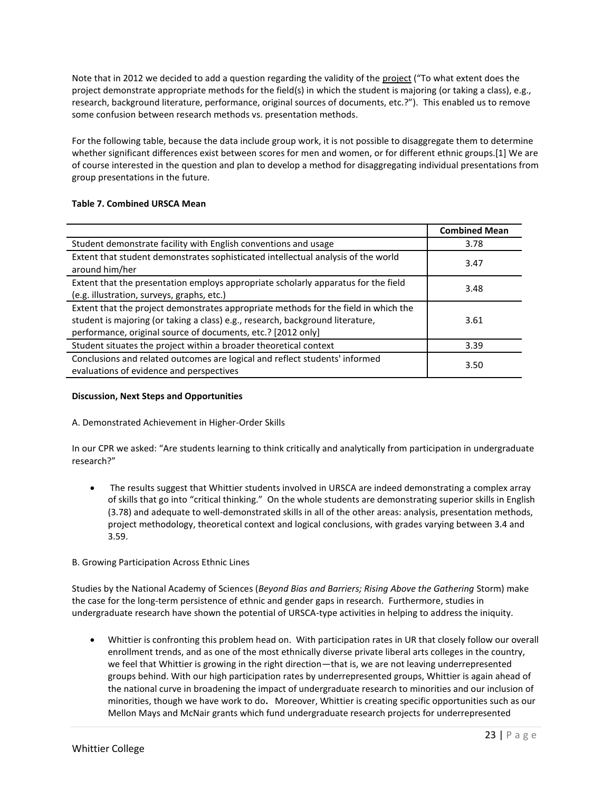Note that in 2012 we decided to add a question regarding the validity of the project ("To what extent does the project demonstrate appropriate methods for the field(s) in which the student is majoring (or taking a class), e.g., research, background literature, performance, original sources of documents, etc.?"). This enabled us to remove some confusion between research methods vs. presentation methods.

For the following table, because the data include group work, it is not possible to disaggregate them to determine whether significant differences exist between scores for men and women, or for different ethnic groups.[1] We are of course interested in the question and plan to develop a method for disaggregating individual presentations from group presentations in the future.

# **Table 7. Combined URSCA Mean**

|                                                                                                                                                                                                                                       | <b>Combined Mean</b> |
|---------------------------------------------------------------------------------------------------------------------------------------------------------------------------------------------------------------------------------------|----------------------|
| Student demonstrate facility with English conventions and usage                                                                                                                                                                       | 3.78                 |
| Extent that student demonstrates sophisticated intellectual analysis of the world<br>around him/her                                                                                                                                   | 3.47                 |
| Extent that the presentation employs appropriate scholarly apparatus for the field<br>(e.g. illustration, surveys, graphs, etc.)                                                                                                      | 3.48                 |
| Extent that the project demonstrates appropriate methods for the field in which the<br>student is majoring (or taking a class) e.g., research, background literature,<br>performance, original source of documents, etc.? [2012 only] | 3.61                 |
| Student situates the project within a broader theoretical context                                                                                                                                                                     | 3.39                 |
| Conclusions and related outcomes are logical and reflect students' informed<br>evaluations of evidence and perspectives                                                                                                               | 3.50                 |

# **Discussion, Next Steps and Opportunities**

# A. Demonstrated Achievement in Higher-Order Skills

In our CPR we asked: "Are students learning to think critically and analytically from participation in undergraduate research?"

 The results suggest that Whittier students involved in URSCA are indeed demonstrating a complex array of skills that go into "critical thinking." On the whole students are demonstrating superior skills in English (3.78) and adequate to well-demonstrated skills in all of the other areas: analysis, presentation methods, project methodology, theoretical context and logical conclusions, with grades varying between 3.4 and 3.59.

# B. Growing Participation Across Ethnic Lines

Studies by the National Academy of Sciences (*Beyond Bias and Barriers; Rising Above the Gathering* Storm) make the case for the long-term persistence of ethnic and gender gaps in research. Furthermore, studies in undergraduate research have shown the potential of URSCA-type activities in helping to address the iniquity.

 Whittier is confronting this problem head on. With participation rates in UR that closely follow our overall enrollment trends, and as one of the most ethnically diverse private liberal arts colleges in the country, we feel that Whittier is growing in the right direction—that is, we are not leaving underrepresented groups behind. With our high participation rates by underrepresented groups, Whittier is again ahead of the national curve in broadening the impact of undergraduate research to minorities and our inclusion of minorities, though we have work to do**.** Moreover, Whittier is creating specific opportunities such as our Mellon Mays and McNair grants which fund undergraduate research projects for underrepresented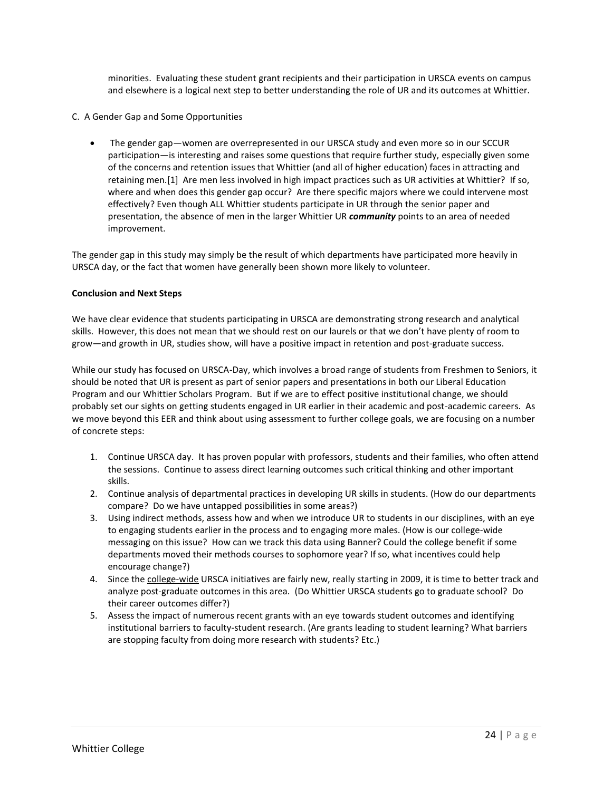minorities. Evaluating these student grant recipients and their participation in URSCA events on campus and elsewhere is a logical next step to better understanding the role of UR and its outcomes at Whittier.

- C. A Gender Gap and Some Opportunities
	- The gender gap—women are overrepresented in our URSCA study and even more so in our SCCUR participation—is interesting and raises some questions that require further study, especially given some of the concerns and retention issues that Whittier (and all of higher education) faces in attracting and retaining men.[1] Are men less involved in high impact practices such as UR activities at Whittier? If so, where and when does this gender gap occur? Are there specific majors where we could intervene most effectively? Even though ALL Whittier students participate in UR through the senior paper and presentation, the absence of men in the larger Whittier UR *community* points to an area of needed improvement.

The gender gap in this study may simply be the result of which departments have participated more heavily in URSCA day, or the fact that women have generally been shown more likely to volunteer.

# **Conclusion and Next Steps**

We have clear evidence that students participating in URSCA are demonstrating strong research and analytical skills. However, this does not mean that we should rest on our laurels or that we don't have plenty of room to grow—and growth in UR, studies show, will have a positive impact in retention and post-graduate success.

While our study has focused on URSCA-Day, which involves a broad range of students from Freshmen to Seniors, it should be noted that UR is present as part of senior papers and presentations in both our Liberal Education Program and our Whittier Scholars Program. But if we are to effect positive institutional change, we should probably set our sights on getting students engaged in UR earlier in their academic and post-academic careers. As we move beyond this EER and think about using assessment to further college goals, we are focusing on a number of concrete steps:

- 1. Continue URSCA day. It has proven popular with professors, students and their families, who often attend the sessions. Continue to assess direct learning outcomes such critical thinking and other important skills.
- 2. Continue analysis of departmental practices in developing UR skills in students. (How do our departments compare? Do we have untapped possibilities in some areas?)
- 3. Using indirect methods, assess how and when we introduce UR to students in our disciplines, with an eye to engaging students earlier in the process and to engaging more males. (How is our college-wide messaging on this issue? How can we track this data using Banner? Could the college benefit if some departments moved their methods courses to sophomore year? If so, what incentives could help encourage change?)
- 4. Since the college-wide URSCA initiatives are fairly new, really starting in 2009, it is time to better track and analyze post-graduate outcomes in this area. (Do Whittier URSCA students go to graduate school? Do their career outcomes differ?)
- 5. Assess the impact of numerous recent grants with an eye towards student outcomes and identifying institutional barriers to faculty-student research. (Are grants leading to student learning? What barriers are stopping faculty from doing more research with students? Etc.)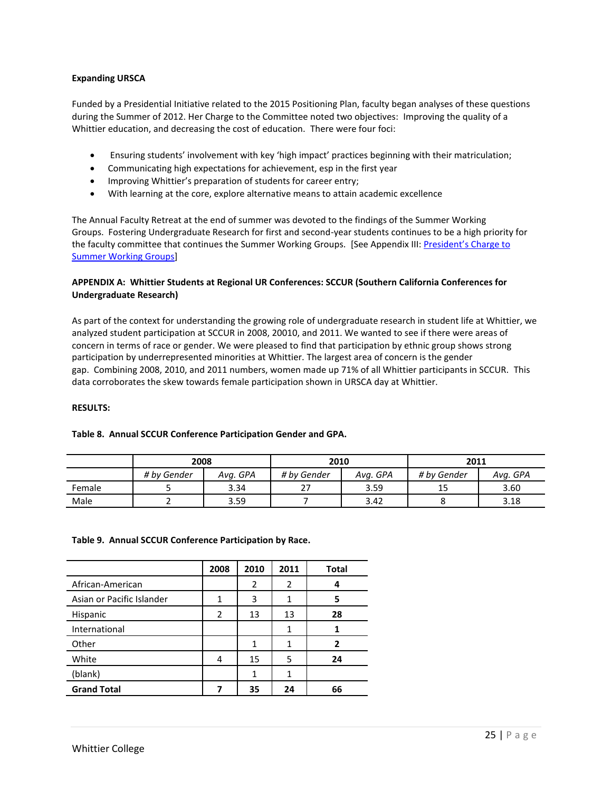#### **Expanding URSCA**

Funded by a Presidential Initiative related to the 2015 Positioning Plan, faculty began analyses of these questions during the Summer of 2012. Her Charge to the Committee noted two objectives: Improving the quality of a Whittier education, and decreasing the cost of education. There were four foci:

- Ensuring students' involvement with key 'high impact' practices beginning with their matriculation;
- Communicating high expectations for achievement, esp in the first year
- Improving Whittier's preparation of students for career entry;
- With learning at the core, explore alternative means to attain academic excellence

The Annual Faculty Retreat at the end of summer was devoted to the findings of the Summer Working Groups. Fostering Undergraduate Research for first and second-year students continues to be a high priority for the faculty committee that continues the Summer Working Groups. [See Appendix III: President's Charge to Summer Working Groups]

# **APPENDIX A: Whittier Students at Regional UR Conferences: SCCUR (Southern California Conferences for Undergraduate Research)**

As part of the context for understanding the growing role of undergraduate research in student life at Whittier, we analyzed student participation at SCCUR in 2008, 20010, and 2011. We wanted to see if there were areas of concern in terms of race or gender. We were pleased to find that participation by ethnic group shows strong participation by underrepresented minorities at Whittier. The largest area of concern is the gender gap. Combining 2008, 2010, and 2011 numbers, women made up 71% of all Whittier participants in SCCUR. This data corroborates the skew towards female participation shown in URSCA day at Whittier.

#### **RESULTS:**

|        | 2008        |          | 2010        |          | 2011        |          |
|--------|-------------|----------|-------------|----------|-------------|----------|
|        | # by Gender | Ava. GPA | # by Gender | Avg. GPA | # by Gender | Avg. GPA |
| Female |             | 3.34     |             | 3.59     | 15          | 3.60     |
| Male   |             | 3.59     |             | 3.42     |             | 3.18     |

# **Table 8. Annual SCCUR Conference Participation Gender and GPA.**

#### **Table 9. Annual SCCUR Conference Participation by Race.**

|                           | 2008 | 2010 | 2011 | <b>Total</b> |
|---------------------------|------|------|------|--------------|
| African-American          |      | 2    | 2    |              |
| Asian or Pacific Islander | 1    | 3    |      | 5            |
| Hispanic                  | 2    | 13   | 13   | 28           |
| International             |      |      |      |              |
| Other                     |      |      |      | 2            |
| White                     |      | 15   | 5    | 24           |
| (blank)                   |      | 1    |      |              |
| <b>Grand Total</b>        |      | 35   | 24   | 66           |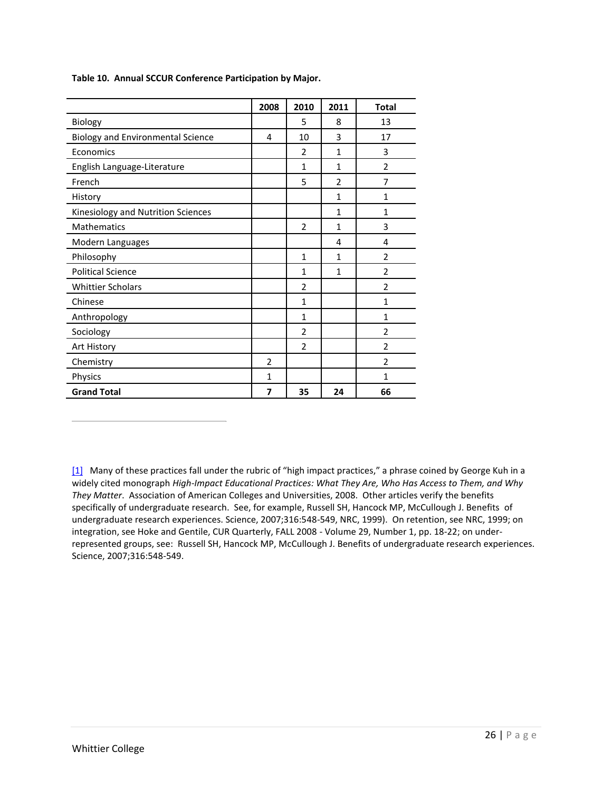|                                          | 2008           | 2010           | 2011           | <b>Total</b>   |
|------------------------------------------|----------------|----------------|----------------|----------------|
| Biology                                  |                | 5              | 8              | 13             |
| <b>Biology and Environmental Science</b> | 4              | 10             | 3              | 17             |
| Economics                                |                | $\overline{2}$ | $\mathbf{1}$   | 3              |
| English Language-Literature              |                | 1              | $\mathbf{1}$   | $\overline{2}$ |
| French                                   |                | 5              | $\overline{2}$ | $\overline{7}$ |
| History                                  |                |                | $\mathbf{1}$   | $\mathbf{1}$   |
| Kinesiology and Nutrition Sciences       |                |                | $\mathbf{1}$   | $\mathbf{1}$   |
| Mathematics                              |                | $\overline{2}$ | $\mathbf{1}$   | 3              |
| Modern Languages                         |                |                | 4              | 4              |
| Philosophy                               |                | $\mathbf{1}$   | $\mathbf{1}$   | $\overline{2}$ |
| <b>Political Science</b>                 |                | $\mathbf{1}$   | $\mathbf{1}$   | $\overline{2}$ |
| <b>Whittier Scholars</b>                 |                | $\overline{2}$ |                | $\overline{2}$ |
| Chinese                                  |                | $\mathbf{1}$   |                | 1              |
| Anthropology                             |                | $\mathbf{1}$   |                | $\mathbf{1}$   |
| Sociology                                |                | $\overline{2}$ |                | $\overline{2}$ |
| Art History                              |                | $\overline{2}$ |                | $\overline{2}$ |
| Chemistry                                | $\overline{2}$ |                |                | $\overline{2}$ |
| Physics                                  | 1              |                |                | 1              |
| <b>Grand Total</b>                       | 7              | 35             | 24             | 66             |

**Table 10. Annual SCCUR Conference Participation by Major.**

[1] Many of these practices fall under the rubric of "high impact practices," a phrase coined by George Kuh in a widely cited monograph *High-Impact Educational Practices: What They Are, Who Has Access to Them, and Why They Matter*. Association of American Colleges and Universities, 2008. Other articles verify the benefits specifically of undergraduate research. See, for example, Russell SH, Hancock MP, McCullough J. Benefits of undergraduate research experiences. Science, 2007;316:548-549, NRC, 1999). On retention, see NRC, 1999; on integration, see Hoke and Gentile, CUR Quarterly, FALL 2008 - Volume 29, Number 1, pp. 18-22; on underrepresented groups, see: Russell SH, Hancock MP, McCullough J. Benefits of undergraduate research experiences. Science, 2007;316:548-549.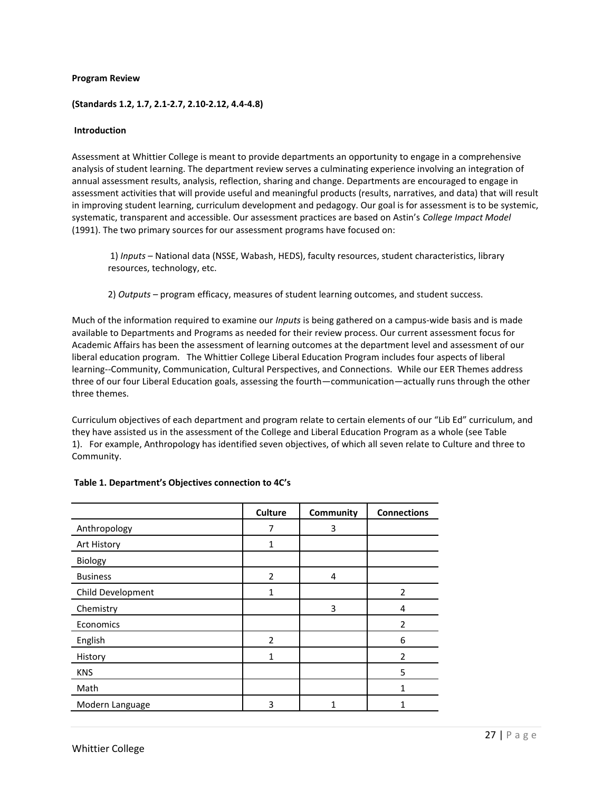#### **Program Review**

#### **(Standards 1.2, 1.7, 2.1-2.7, 2.10-2.12, 4.4-4.8)**

#### **Introduction**

Assessment at Whittier College is meant to provide departments an opportunity to engage in a comprehensive analysis of student learning. The department review serves a culminating experience involving an integration of annual assessment results, analysis, reflection, sharing and change. Departments are encouraged to engage in assessment activities that will provide useful and meaningful products (results, narratives, and data) that will result in improving student learning, curriculum development and pedagogy. Our goal is for assessment is to be systemic, systematic, transparent and accessible. Our assessment practices are based on Astin's *College Impact Model*  (1991). The two primary sources for our assessment programs have focused on:

1) *Inputs* – National data (NSSE, Wabash, HEDS), faculty resources, student characteristics, library resources, technology, etc.

2) *Outputs* – program efficacy, measures of student learning outcomes, and student success.

Much of the information required to examine our *Inputs* is being gathered on a campus-wide basis and is made available to Departments and Programs as needed for their review process. Our current assessment focus for Academic Affairs has been the assessment of learning outcomes at the department level and assessment of our liberal education program. The Whittier College Liberal Education Program includes four aspects of liberal learning--Community, Communication, Cultural Perspectives, and Connections. While our EER Themes address three of our four Liberal Education goals, assessing the fourth—communication—actually runs through the other three themes.

Curriculum objectives of each department and program relate to certain elements of our "Lib Ed" curriculum, and they have assisted us in the assessment of the College and Liberal Education Program as a whole (see Table 1). For example, Anthropology has identified seven objectives, of which all seven relate to Culture and three to Community.

|                   | <b>Culture</b> | <b>Community</b> | <b>Connections</b> |
|-------------------|----------------|------------------|--------------------|
| Anthropology      | 7              | 3                |                    |
| Art History       | 1              |                  |                    |
| Biology           |                |                  |                    |
| <b>Business</b>   | $\overline{2}$ | 4                |                    |
| Child Development | 1              |                  | 2                  |
| Chemistry         |                | 3                | 4                  |
| Economics         |                |                  | 2                  |
| English           | $\overline{2}$ |                  | 6                  |
| History           | 1              |                  | $\overline{2}$     |
| <b>KNS</b>        |                |                  | 5                  |
| Math              |                |                  | 1                  |
| Modern Language   | 3              | 1                | 1                  |

#### **Table 1. Department's Objectives connection to 4C's**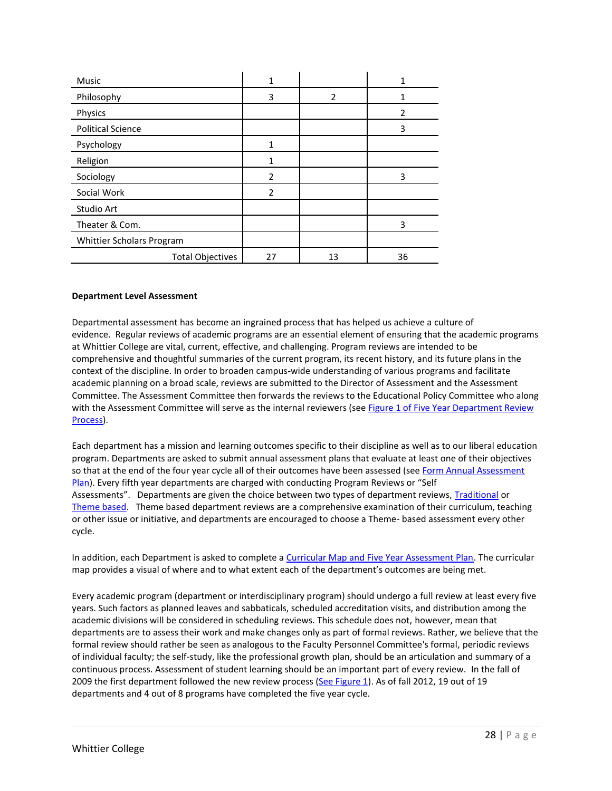| <b>Music</b>              | 1              |                |    |
|---------------------------|----------------|----------------|----|
| Philosophy                | 3              | $\overline{2}$ |    |
| Physics                   |                |                | 2  |
| <b>Political Science</b>  |                |                | 3  |
| Psychology                | 1              |                |    |
| Religion                  | 1              |                |    |
| Sociology                 | $\overline{2}$ |                | 3  |
| Social Work               | $\mathfrak{p}$ |                |    |
| Studio Art                |                |                |    |
| Theater & Com.            |                |                | 3  |
| Whittier Scholars Program |                |                |    |
| <b>Total Objectives</b>   | 27             | 13             | 36 |

#### **Department Level Assessment**

Departmental assessment has become an ingrained process that has helped us achieve a culture of evidence. Regular reviews of academic programs are an essential element of ensuring that the academic programs at Whittier College are vital, current, effective, and challenging. Program reviews are intended to be comprehensive and thoughtful summaries of the current program, its recent history, and its future plans in the context of the discipline. In order to broaden campus-wide understanding of various programs and facilitate academic planning on a broad scale, reviews are submitted to the Director of Assessment and the Assessment Committee. The Assessment Committee then forwards the reviews to the Educational Policy Committee who along with the Assessment Committee will serve as the internal reviewers (see Figure 1 of Five Year Department Review Process).

Each department has a mission and learning outcomes specific to their discipline as well as to our liberal education program. Departments are asked to submit annual assessment plans that evaluate at least one of their objectives so that at the end of the four year cycle all of their outcomes have been assessed (see Form Annual Assessment Plan). Every fifth year departments are charged with conducting Program Reviews or "Self Assessments". Departments are given the choice between two types of department reviews, Traditional or Theme based. Theme based department reviews are a comprehensive examination of their curriculum, teaching or other issue or initiative, and departments are encouraged to choose a Theme- based assessment every other cycle.

In addition, each Department is asked to complete a Curricular Map and Five Year Assessment Plan. The curricular map provides a visual of where and to what extent each of the department's outcomes are being met.

Every academic program (department or interdisciplinary program) should undergo a full review at least every five years. Such factors as planned leaves and sabbaticals, scheduled accreditation visits, and distribution among the academic divisions will be considered in scheduling reviews. This schedule does not, however, mean that departments are to assess their work and make changes only as part of formal reviews. Rather, we believe that the formal review should rather be seen as analogous to the Faculty Personnel Committee's formal, periodic reviews of individual faculty; the self-study, like the professional growth plan, should be an articulation and summary of a continuous process. Assessment of student learning should be an important part of every review. In the fall of 2009 the first department followed the new review process (See Figure 1). As of fall 2012, 19 out of 19 departments and 4 out of 8 programs have completed the five year cycle.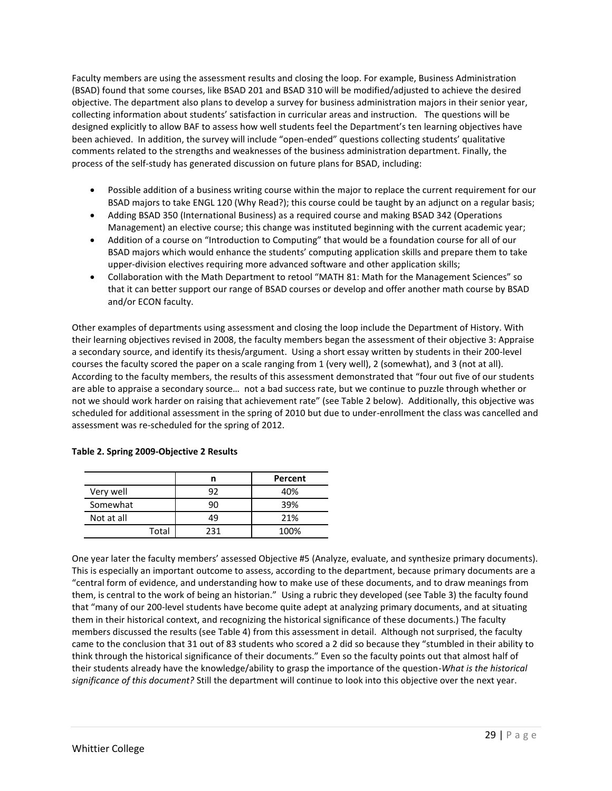Faculty members are using the assessment results and closing the loop. For example, Business Administration (BSAD) found that some courses, like BSAD 201 and BSAD 310 will be modified/adjusted to achieve the desired objective. The department also plans to develop a survey for business administration majors in their senior year, collecting information about students' satisfaction in curricular areas and instruction. The questions will be designed explicitly to allow BAF to assess how well students feel the Department's ten learning objectives have been achieved. In addition, the survey will include "open-ended" questions collecting students' qualitative comments related to the strengths and weaknesses of the business administration department. Finally, the process of the self-study has generated discussion on future plans for BSAD, including:

- Possible addition of a business writing course within the major to replace the current requirement for our BSAD majors to take ENGL 120 (Why Read?); this course could be taught by an adjunct on a regular basis;
- Adding BSAD 350 (International Business) as a required course and making BSAD 342 (Operations Management) an elective course; this change was instituted beginning with the current academic year;
- Addition of a course on "Introduction to Computing" that would be a foundation course for all of our BSAD majors which would enhance the students' computing application skills and prepare them to take upper-division electives requiring more advanced software and other application skills;
- Collaboration with the Math Department to retool "MATH 81: Math for the Management Sciences" so that it can better support our range of BSAD courses or develop and offer another math course by BSAD and/or ECON faculty.

Other examples of departments using assessment and closing the loop include the Department of History. With their learning objectives revised in 2008, the faculty members began the assessment of their objective 3: Appraise a secondary source, and identify its thesis/argument. Using a short essay written by students in their 200-level courses the faculty scored the paper on a scale ranging from 1 (very well), 2 (somewhat), and 3 (not at all). According to the faculty members, the results of this assessment demonstrated that "four out five of our students are able to appraise a secondary source… not a bad success rate, but we continue to puzzle through whether or not we should work harder on raising that achievement rate" (see Table 2 below). Additionally, this objective was scheduled for additional assessment in the spring of 2010 but due to under-enrollment the class was cancelled and assessment was re-scheduled for the spring of 2012.

|            |     | Percent |
|------------|-----|---------|
| Very well  | 92  | 40%     |
| Somewhat   | ۹Λ  | 39%     |
| Not at all | 49  | 21%     |
| Total      | 231 | 100%    |

# **Table 2. Spring 2009-Objective 2 Results**

One year later the faculty members' assessed Objective #5 (Analyze, evaluate, and synthesize primary documents). This is especially an important outcome to assess, according to the department, because primary documents are a "central form of evidence, and understanding how to make use of these documents, and to draw meanings from them, is central to the work of being an historian." Using a rubric they developed (see Table 3) the faculty found that "many of our 200-level students have become quite adept at analyzing primary documents, and at situating them in their historical context, and recognizing the historical significance of these documents.) The faculty members discussed the results (see Table 4) from this assessment in detail. Although not surprised, the faculty came to the conclusion that 31 out of 83 students who scored a 2 did so because they "stumbled in their ability to think through the historical significance of their documents." Even so the faculty points out that almost half of their students already have the knowledge/ability to grasp the importance of the question-*What is the historical significance of this document?* Still the department will continue to look into this objective over the next year.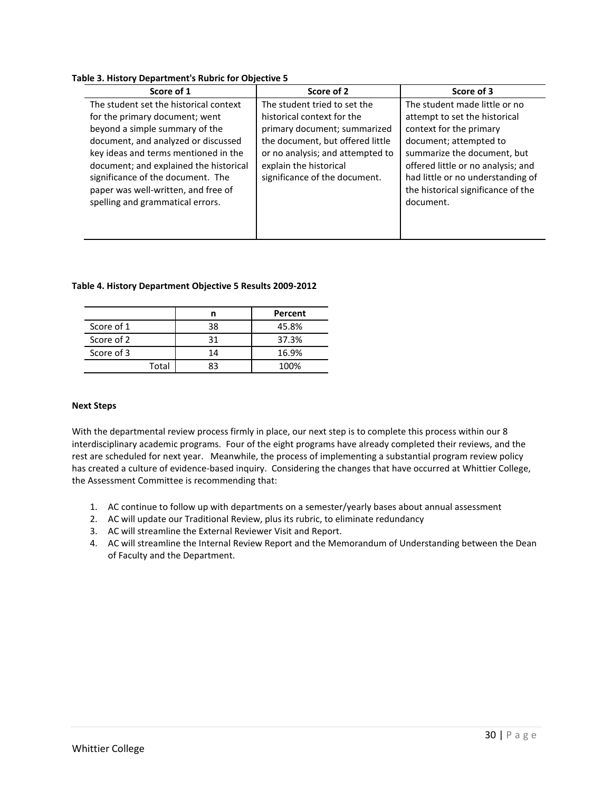#### **Table 3. History Department's Rubric for Objective 5**

| Score of 2                       | Score of 3                         |
|----------------------------------|------------------------------------|
| The student tried to set the     | The student made little or no      |
| historical context for the       | attempt to set the historical      |
| primary document; summarized     | context for the primary            |
| the document, but offered little | document; attempted to             |
| or no analysis; and attempted to | summarize the document, but        |
| explain the historical           | offered little or no analysis; and |
| significance of the document.    | had little or no understanding of  |
|                                  | the historical significance of the |
|                                  | document.                          |
|                                  |                                    |
|                                  |                                    |
|                                  |                                    |

#### **Table 4. History Department Objective 5 Results 2009-2012**

|            |    | Percent |
|------------|----|---------|
| Score of 1 | 38 | 45.8%   |
| Score of 2 |    | 37.3%   |
| Score of 3 | 14 | 16.9%   |
| Total      |    | 100%    |

#### **Next Steps**

With the departmental review process firmly in place, our next step is to complete this process within our 8 interdisciplinary academic programs. Four of the eight programs have already completed their reviews, and the rest are scheduled for next year. Meanwhile, the process of implementing a substantial program review policy has created a culture of evidence-based inquiry. Considering the changes that have occurred at Whittier College, the Assessment Committee is recommending that:

- 1. AC continue to follow up with departments on a semester/yearly bases about annual assessment
- 2. AC will update our Traditional Review, plus its rubric, to eliminate redundancy
- 3. AC will streamline the External Reviewer Visit and Report.
- 4. AC will streamline the Internal Review Report and the Memorandum of Understanding between the Dean of Faculty and the Department.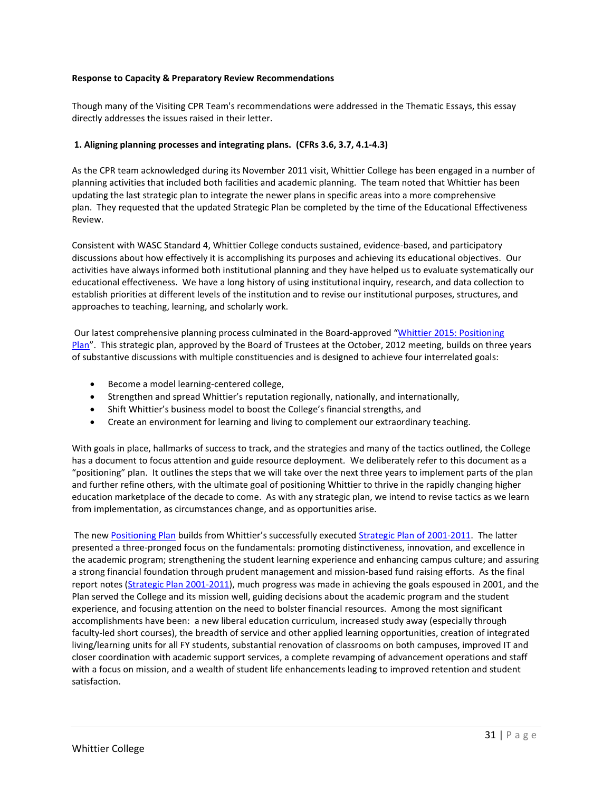#### **Response to Capacity & Preparatory Review Recommendations**

Though many of the Visiting CPR Team's recommendations were addressed in the Thematic Essays, this essay directly addresses the issues raised in their letter.

#### **1. Aligning planning processes and integrating plans. (CFRs 3.6, 3.7, 4.1-4.3)**

As the CPR team acknowledged during its November 2011 visit, Whittier College has been engaged in a number of planning activities that included both facilities and academic planning. The team noted that Whittier has been updating the last strategic plan to integrate the newer plans in specific areas into a more comprehensive plan. They requested that the updated Strategic Plan be completed by the time of the Educational Effectiveness Review.

Consistent with WASC Standard 4, Whittier College conducts sustained, evidence-based, and participatory discussions about how effectively it is accomplishing its purposes and achieving its educational objectives. Our activities have always informed both institutional planning and they have helped us to evaluate systematically our educational effectiveness. We have a long history of using institutional inquiry, research, and data collection to establish priorities at different levels of the institution and to revise our institutional purposes, structures, and approaches to teaching, learning, and scholarly work.

Our latest comprehensive planning process culminated in the Board-approved "Whittier 2015: Positioning Plan". This strategic plan, approved by the Board of Trustees at the October, 2012 meeting, builds on three years of substantive discussions with multiple constituencies and is designed to achieve four interrelated goals:

- Become a model learning-centered college,
- Strengthen and spread Whittier's reputation regionally, nationally, and internationally,
- Shift Whittier's business model to boost the College's financial strengths, and
- Create an environment for learning and living to complement our extraordinary teaching.

With goals in place, hallmarks of success to track, and the strategies and many of the tactics outlined, the College has a document to focus attention and guide resource deployment. We deliberately refer to this document as a "positioning" plan. It outlines the steps that we will take over the next three years to implement parts of the plan and further refine others, with the ultimate goal of positioning Whittier to thrive in the rapidly changing higher education marketplace of the decade to come. As with any strategic plan, we intend to revise tactics as we learn from implementation, as circumstances change, and as opportunities arise.

The new Positioning Plan builds from Whittier's successfully executed Strategic Plan of 2001-2011. The latter presented a three-pronged focus on the fundamentals: promoting distinctiveness, innovation, and excellence in the academic program; strengthening the student learning experience and enhancing campus culture; and assuring a strong financial foundation through prudent management and mission-based fund raising efforts. As the final report notes (Strategic Plan 2001-2011), much progress was made in achieving the goals espoused in 2001, and the Plan served the College and its mission well, guiding decisions about the academic program and the student experience, and focusing attention on the need to bolster financial resources. Among the most significant accomplishments have been: a new liberal education curriculum, increased study away (especially through faculty-led short courses), the breadth of service and other applied learning opportunities, creation of integrated living/learning units for all FY students, substantial renovation of classrooms on both campuses, improved IT and closer coordination with academic support services, a complete revamping of advancement operations and staff with a focus on mission, and a wealth of student life enhancements leading to improved retention and student satisfaction.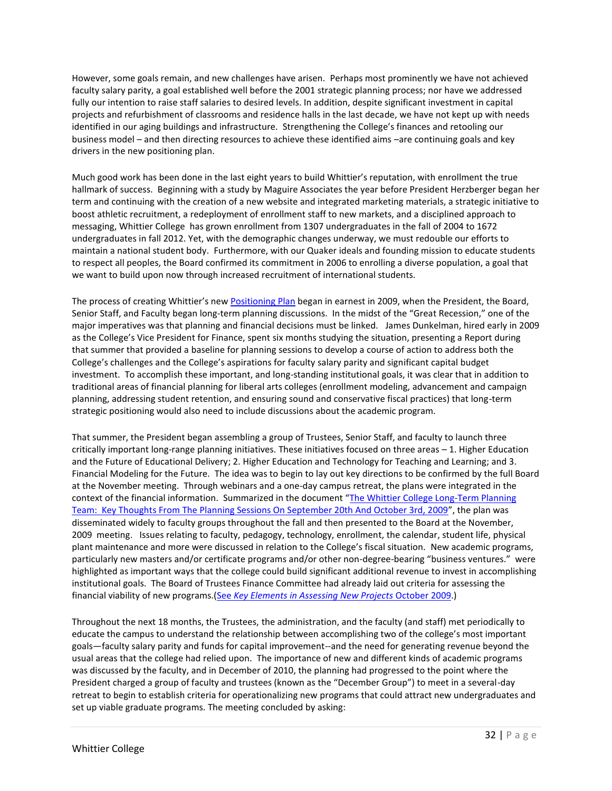However, some goals remain, and new challenges have arisen. Perhaps most prominently we have not achieved faculty salary parity, a goal established well before the 2001 strategic planning process; nor have we addressed fully our intention to raise staff salaries to desired levels. In addition, despite significant investment in capital projects and refurbishment of classrooms and residence halls in the last decade, we have not kept up with needs identified in our aging buildings and infrastructure. Strengthening the College's finances and retooling our business model – and then directing resources to achieve these identified aims –are continuing goals and key drivers in the new positioning plan.

Much good work has been done in the last eight years to build Whittier's reputation, with enrollment the true hallmark of success. Beginning with a study by Maguire Associates the year before President Herzberger began her term and continuing with the creation of a new website and integrated marketing materials, a strategic initiative to boost athletic recruitment, a redeployment of enrollment staff to new markets, and a disciplined approach to messaging, Whittier College has grown enrollment from 1307 undergraduates in the fall of 2004 to 1672 undergraduates in fall 2012. Yet, with the demographic changes underway, we must redouble our efforts to maintain a national student body. Furthermore, with our Quaker ideals and founding mission to educate students to respect all peoples, the Board confirmed its commitment in 2006 to enrolling a diverse population, a goal that we want to build upon now through increased recruitment of international students.

The process of creating Whittier's new Positioning Plan began in earnest in 2009, when the President, the Board, Senior Staff, and Faculty began long-term planning discussions. In the midst of the "Great Recession," one of the major imperatives was that planning and financial decisions must be linked. James Dunkelman, hired early in 2009 as the College's Vice President for Finance, spent six months studying the situation, presenting a Report during that summer that provided a baseline for planning sessions to develop a course of action to address both the College's challenges and the College's aspirations for faculty salary parity and significant capital budget investment. To accomplish these important, and long-standing institutional goals, it was clear that in addition to traditional areas of financial planning for liberal arts colleges (enrollment modeling, advancement and campaign planning, addressing student retention, and ensuring sound and conservative fiscal practices) that long-term strategic positioning would also need to include discussions about the academic program.

That summer, the President began assembling a group of Trustees, Senior Staff, and faculty to launch three critically important long-range planning initiatives. These initiatives focused on three areas – 1. Higher Education and the Future of Educational Delivery; 2. Higher Education and Technology for Teaching and Learning; and 3. Financial Modeling for the Future. The idea was to begin to lay out key directions to be confirmed by the full Board at the November meeting. Through webinars and a one-day campus retreat, the plans were integrated in the context of the financial information. Summarized in the document "The Whittier College Long-Term Planning Team: Key Thoughts From The Planning Sessions On September 20th And October 3rd, 2009", the plan was disseminated widely to faculty groups throughout the fall and then presented to the Board at the November, 2009 meeting. Issues relating to faculty, pedagogy, technology, enrollment, the calendar, student life, physical plant maintenance and more were discussed in relation to the College's fiscal situation. New academic programs, particularly new masters and/or certificate programs and/or other non-degree-bearing "business ventures." were highlighted as important ways that the college could build significant additional revenue to invest in accomplishing institutional goals. The Board of Trustees Finance Committee had already laid out criteria for assessing the financial viability of new programs.(See *Key Elements in Assessing New Projects* October 2009.)

Throughout the next 18 months, the Trustees, the administration, and the faculty (and staff) met periodically to educate the campus to understand the relationship between accomplishing two of the college's most important goals—faculty salary parity and funds for capital improvement--and the need for generating revenue beyond the usual areas that the college had relied upon. The importance of new and different kinds of academic programs was discussed by the faculty, and in December of 2010, the planning had progressed to the point where the President charged a group of faculty and trustees (known as the "December Group") to meet in a several-day retreat to begin to establish criteria for operationalizing new programs that could attract new undergraduates and set up viable graduate programs. The meeting concluded by asking: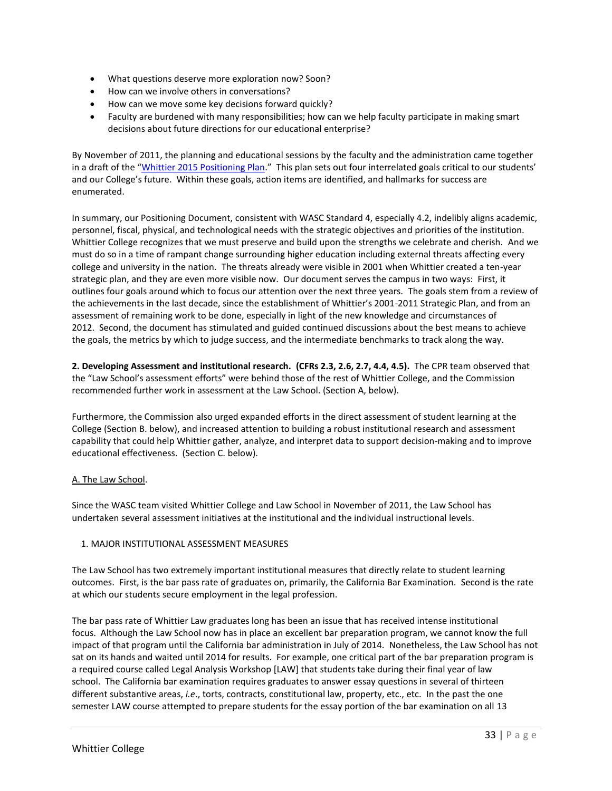- What questions deserve more exploration now? Soon?
- How can we involve others in conversations?
- How can we move some key decisions forward quickly?
- Faculty are burdened with many responsibilities; how can we help faculty participate in making smart decisions about future directions for our educational enterprise?

By November of 2011, the planning and educational sessions by the faculty and the administration came together in a draft of the "Whittier 2015 Positioning Plan." This plan sets out four interrelated goals critical to our students' and our College's future. Within these goals, action items are identified, and hallmarks for success are enumerated.

In summary, our Positioning Document, consistent with WASC Standard 4, especially 4.2, indelibly aligns academic, personnel, fiscal, physical, and technological needs with the strategic objectives and priorities of the institution. Whittier College recognizes that we must preserve and build upon the strengths we celebrate and cherish. And we must do so in a time of rampant change surrounding higher education including external threats affecting every college and university in the nation. The threats already were visible in 2001 when Whittier created a ten-year strategic plan, and they are even more visible now. Our document serves the campus in two ways: First, it outlines four goals around which to focus our attention over the next three years. The goals stem from a review of the achievements in the last decade, since the establishment of Whittier's 2001-2011 Strategic Plan, and from an assessment of remaining work to be done, especially in light of the new knowledge and circumstances of 2012. Second, the document has stimulated and guided continued discussions about the best means to achieve the goals, the metrics by which to judge success, and the intermediate benchmarks to track along the way.

**2. Developing Assessment and institutional research. (CFRs 2.3, 2.6, 2.7, 4.4, 4.5).** The CPR team observed that the "Law School's assessment efforts" were behind those of the rest of Whittier College, and the Commission recommended further work in assessment at the Law School. (Section A, below).

Furthermore, the Commission also urged expanded efforts in the direct assessment of student learning at the College (Section B. below), and increased attention to building a robust institutional research and assessment capability that could help Whittier gather, analyze, and interpret data to support decision-making and to improve educational effectiveness. (Section C. below).

# A. The Law School.

Since the WASC team visited Whittier College and Law School in November of 2011, the Law School has undertaken several assessment initiatives at the institutional and the individual instructional levels.

# 1. MAJOR INSTITUTIONAL ASSESSMENT MEASURES

The Law School has two extremely important institutional measures that directly relate to student learning outcomes. First, is the bar pass rate of graduates on, primarily, the California Bar Examination. Second is the rate at which our students secure employment in the legal profession.

The bar pass rate of Whittier Law graduates long has been an issue that has received intense institutional focus. Although the Law School now has in place an excellent bar preparation program, we cannot know the full impact of that program until the California bar administration in July of 2014. Nonetheless, the Law School has not sat on its hands and waited until 2014 for results. For example, one critical part of the bar preparation program is a required course called Legal Analysis Workshop [LAW] that students take during their final year of law school. The California bar examination requires graduates to answer essay questions in several of thirteen different substantive areas, *i.e*., torts, contracts, constitutional law, property, etc., etc. In the past the one semester LAW course attempted to prepare students for the essay portion of the bar examination on all 13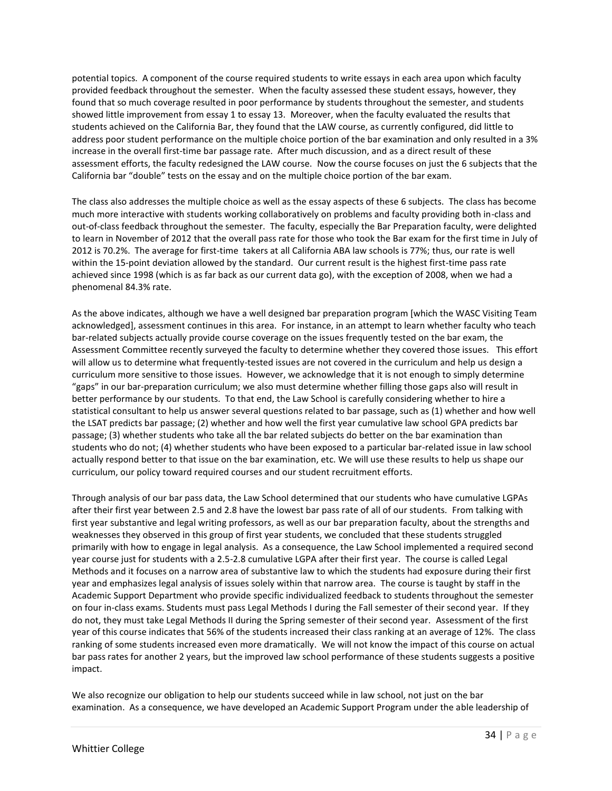potential topics. A component of the course required students to write essays in each area upon which faculty provided feedback throughout the semester. When the faculty assessed these student essays, however, they found that so much coverage resulted in poor performance by students throughout the semester, and students showed little improvement from essay 1 to essay 13. Moreover, when the faculty evaluated the results that students achieved on the California Bar, they found that the LAW course, as currently configured, did little to address poor student performance on the multiple choice portion of the bar examination and only resulted in a 3% increase in the overall first-time bar passage rate. After much discussion, and as a direct result of these assessment efforts, the faculty redesigned the LAW course. Now the course focuses on just the 6 subjects that the California bar "double" tests on the essay and on the multiple choice portion of the bar exam.

The class also addresses the multiple choice as well as the essay aspects of these 6 subjects. The class has become much more interactive with students working collaboratively on problems and faculty providing both in-class and out-of-class feedback throughout the semester. The faculty, especially the Bar Preparation faculty, were delighted to learn in November of 2012 that the overall pass rate for those who took the Bar exam for the first time in July of 2012 is 70.2%. The average for first-time takers at all California ABA law schools is 77%; thus, our rate is well within the 15-point deviation allowed by the standard. Our current result is the highest first-time pass rate achieved since 1998 (which is as far back as our current data go), with the exception of 2008, when we had a phenomenal 84.3% rate.

As the above indicates, although we have a well designed bar preparation program [which the WASC Visiting Team acknowledged], assessment continues in this area. For instance, in an attempt to learn whether faculty who teach bar-related subjects actually provide course coverage on the issues frequently tested on the bar exam, the Assessment Committee recently surveyed the faculty to determine whether they covered those issues. This effort will allow us to determine what frequently-tested issues are not covered in the curriculum and help us design a curriculum more sensitive to those issues. However, we acknowledge that it is not enough to simply determine "gaps" in our bar-preparation curriculum; we also must determine whether filling those gaps also will result in better performance by our students. To that end, the Law School is carefully considering whether to hire a statistical consultant to help us answer several questions related to bar passage, such as (1) whether and how well the LSAT predicts bar passage; (2) whether and how well the first year cumulative law school GPA predicts bar passage; (3) whether students who take all the bar related subjects do better on the bar examination than students who do not; (4) whether students who have been exposed to a particular bar-related issue in law school actually respond better to that issue on the bar examination, etc. We will use these results to help us shape our curriculum, our policy toward required courses and our student recruitment efforts.

Through analysis of our bar pass data, the Law School determined that our students who have cumulative LGPAs after their first year between 2.5 and 2.8 have the lowest bar pass rate of all of our students. From talking with first year substantive and legal writing professors, as well as our bar preparation faculty, about the strengths and weaknesses they observed in this group of first year students, we concluded that these students struggled primarily with how to engage in legal analysis. As a consequence, the Law School implemented a required second year course just for students with a 2.5-2.8 cumulative LGPA after their first year. The course is called Legal Methods and it focuses on a narrow area of substantive law to which the students had exposure during their first year and emphasizes legal analysis of issues solely within that narrow area. The course is taught by staff in the Academic Support Department who provide specific individualized feedback to students throughout the semester on four in-class exams. Students must pass Legal Methods I during the Fall semester of their second year. If they do not, they must take Legal Methods II during the Spring semester of their second year. Assessment of the first year of this course indicates that 56% of the students increased their class ranking at an average of 12%. The class ranking of some students increased even more dramatically. We will not know the impact of this course on actual bar pass rates for another 2 years, but the improved law school performance of these students suggests a positive impact.

We also recognize our obligation to help our students succeed while in law school, not just on the bar examination. As a consequence, we have developed an Academic Support Program under the able leadership of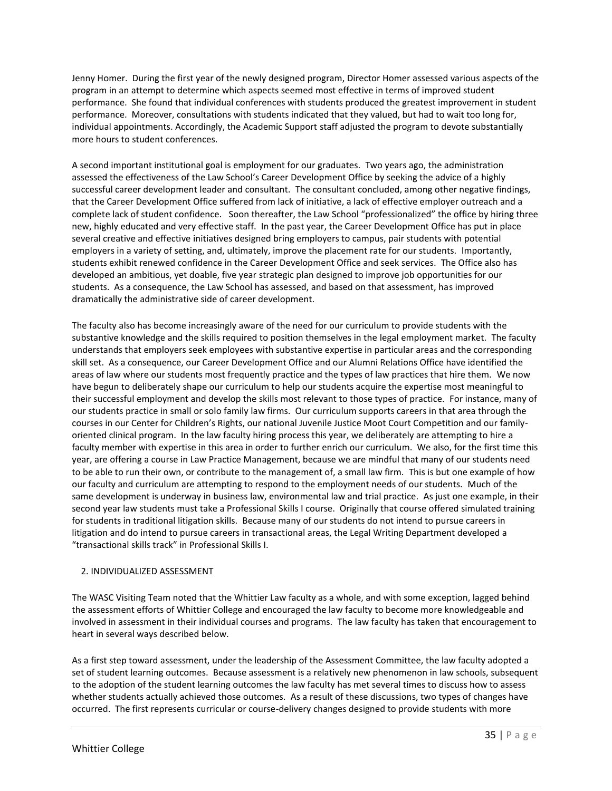Jenny Homer. During the first year of the newly designed program, Director Homer assessed various aspects of the program in an attempt to determine which aspects seemed most effective in terms of improved student performance. She found that individual conferences with students produced the greatest improvement in student performance. Moreover, consultations with students indicated that they valued, but had to wait too long for, individual appointments. Accordingly, the Academic Support staff adjusted the program to devote substantially more hours to student conferences.

A second important institutional goal is employment for our graduates. Two years ago, the administration assessed the effectiveness of the Law School's Career Development Office by seeking the advice of a highly successful career development leader and consultant. The consultant concluded, among other negative findings, that the Career Development Office suffered from lack of initiative, a lack of effective employer outreach and a complete lack of student confidence. Soon thereafter, the Law School "professionalized" the office by hiring three new, highly educated and very effective staff. In the past year, the Career Development Office has put in place several creative and effective initiatives designed bring employers to campus, pair students with potential employers in a variety of setting, and, ultimately, improve the placement rate for our students. Importantly, students exhibit renewed confidence in the Career Development Office and seek services. The Office also has developed an ambitious, yet doable, five year strategic plan designed to improve job opportunities for our students. As a consequence, the Law School has assessed, and based on that assessment, has improved dramatically the administrative side of career development.

The faculty also has become increasingly aware of the need for our curriculum to provide students with the substantive knowledge and the skills required to position themselves in the legal employment market. The faculty understands that employers seek employees with substantive expertise in particular areas and the corresponding skill set. As a consequence, our Career Development Office and our Alumni Relations Office have identified the areas of law where our students most frequently practice and the types of law practices that hire them. We now have begun to deliberately shape our curriculum to help our students acquire the expertise most meaningful to their successful employment and develop the skills most relevant to those types of practice. For instance, many of our students practice in small or solo family law firms. Our curriculum supports careers in that area through the courses in our Center for Children's Rights, our national Juvenile Justice Moot Court Competition and our familyoriented clinical program. In the law faculty hiring process this year, we deliberately are attempting to hire a faculty member with expertise in this area in order to further enrich our curriculum. We also, for the first time this year, are offering a course in Law Practice Management, because we are mindful that many of our students need to be able to run their own, or contribute to the management of, a small law firm. This is but one example of how our faculty and curriculum are attempting to respond to the employment needs of our students. Much of the same development is underway in business law, environmental law and trial practice. As just one example, in their second year law students must take a Professional Skills I course. Originally that course offered simulated training for students in traditional litigation skills. Because many of our students do not intend to pursue careers in litigation and do intend to pursue careers in transactional areas, the Legal Writing Department developed a "transactional skills track" in Professional Skills I.

# 2. INDIVIDUALIZED ASSESSMENT

The WASC Visiting Team noted that the Whittier Law faculty as a whole, and with some exception, lagged behind the assessment efforts of Whittier College and encouraged the law faculty to become more knowledgeable and involved in assessment in their individual courses and programs. The law faculty has taken that encouragement to heart in several ways described below.

As a first step toward assessment, under the leadership of the Assessment Committee, the law faculty adopted a set of student learning outcomes. Because assessment is a relatively new phenomenon in law schools, subsequent to the adoption of the student learning outcomes the law faculty has met several times to discuss how to assess whether students actually achieved those outcomes. As a result of these discussions, two types of changes have occurred. The first represents curricular or course-delivery changes designed to provide students with more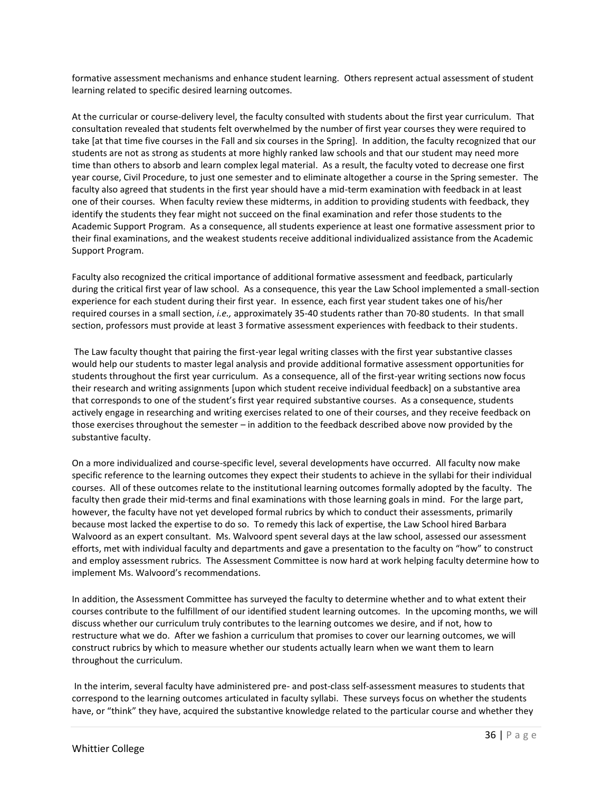formative assessment mechanisms and enhance student learning. Others represent actual assessment of student learning related to specific desired learning outcomes.

At the curricular or course-delivery level, the faculty consulted with students about the first year curriculum. That consultation revealed that students felt overwhelmed by the number of first year courses they were required to take [at that time five courses in the Fall and six courses in the Spring]. In addition, the faculty recognized that our students are not as strong as students at more highly ranked law schools and that our student may need more time than others to absorb and learn complex legal material. As a result, the faculty voted to decrease one first year course, Civil Procedure, to just one semester and to eliminate altogether a course in the Spring semester. The faculty also agreed that students in the first year should have a mid-term examination with feedback in at least one of their courses. When faculty review these midterms, in addition to providing students with feedback, they identify the students they fear might not succeed on the final examination and refer those students to the Academic Support Program. As a consequence, all students experience at least one formative assessment prior to their final examinations, and the weakest students receive additional individualized assistance from the Academic Support Program.

Faculty also recognized the critical importance of additional formative assessment and feedback, particularly during the critical first year of law school. As a consequence, this year the Law School implemented a small-section experience for each student during their first year. In essence, each first year student takes one of his/her required courses in a small section, *i.e.,* approximately 35-40 students rather than 70-80 students. In that small section, professors must provide at least 3 formative assessment experiences with feedback to their students.

The Law faculty thought that pairing the first-year legal writing classes with the first year substantive classes would help our students to master legal analysis and provide additional formative assessment opportunities for students throughout the first year curriculum. As a consequence, all of the first-year writing sections now focus their research and writing assignments [upon which student receive individual feedback] on a substantive area that corresponds to one of the student's first year required substantive courses. As a consequence, students actively engage in researching and writing exercises related to one of their courses, and they receive feedback on those exercises throughout the semester – in addition to the feedback described above now provided by the substantive faculty.

On a more individualized and course-specific level, several developments have occurred. All faculty now make specific reference to the learning outcomes they expect their students to achieve in the syllabi for their individual courses. All of these outcomes relate to the institutional learning outcomes formally adopted by the faculty. The faculty then grade their mid-terms and final examinations with those learning goals in mind. For the large part, however, the faculty have not yet developed formal rubrics by which to conduct their assessments, primarily because most lacked the expertise to do so. To remedy this lack of expertise, the Law School hired Barbara Walvoord as an expert consultant. Ms. Walvoord spent several days at the law school, assessed our assessment efforts, met with individual faculty and departments and gave a presentation to the faculty on "how" to construct and employ assessment rubrics. The Assessment Committee is now hard at work helping faculty determine how to implement Ms. Walvoord's recommendations.

In addition, the Assessment Committee has surveyed the faculty to determine whether and to what extent their courses contribute to the fulfillment of our identified student learning outcomes. In the upcoming months, we will discuss whether our curriculum truly contributes to the learning outcomes we desire, and if not, how to restructure what we do. After we fashion a curriculum that promises to cover our learning outcomes, we will construct rubrics by which to measure whether our students actually learn when we want them to learn throughout the curriculum.

In the interim, several faculty have administered pre- and post-class self-assessment measures to students that correspond to the learning outcomes articulated in faculty syllabi. These surveys focus on whether the students have, or "think" they have, acquired the substantive knowledge related to the particular course and whether they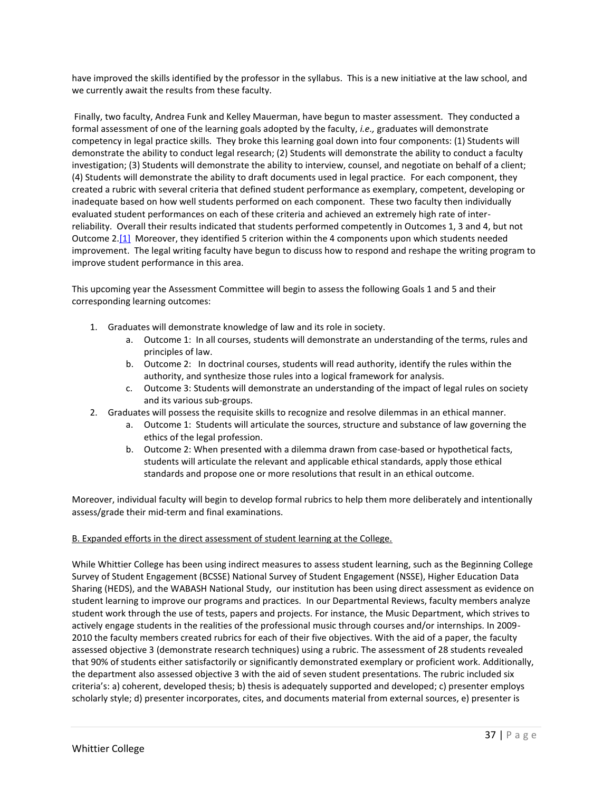have improved the skills identified by the professor in the syllabus. This is a new initiative at the law school, and we currently await the results from these faculty.

Finally, two faculty, Andrea Funk and Kelley Mauerman, have begun to master assessment. They conducted a formal assessment of one of the learning goals adopted by the faculty, *i.e.,* graduates will demonstrate competency in legal practice skills. They broke this learning goal down into four components: (1) Students will demonstrate the ability to conduct legal research; (2) Students will demonstrate the ability to conduct a faculty investigation; (3) Students will demonstrate the ability to interview, counsel, and negotiate on behalf of a client; (4) Students will demonstrate the ability to draft documents used in legal practice. For each component, they created a rubric with several criteria that defined student performance as exemplary, competent, developing or inadequate based on how well students performed on each component. These two faculty then individually evaluated student performances on each of these criteria and achieved an extremely high rate of interreliability. Overall their results indicated that students performed competently in Outcomes 1, 3 and 4, but not Outcome 2.[1] Moreover, they identified 5 criterion within the 4 components upon which students needed improvement. The legal writing faculty have begun to discuss how to respond and reshape the writing program to improve student performance in this area.

This upcoming year the Assessment Committee will begin to assess the following Goals 1 and 5 and their corresponding learning outcomes:

- 1. Graduates will demonstrate knowledge of law and its role in society.
	- a. Outcome 1: In all courses, students will demonstrate an understanding of the terms, rules and principles of law.
	- b. Outcome 2: In doctrinal courses, students will read authority, identify the rules within the authority, and synthesize those rules into a logical framework for analysis.
	- c. Outcome 3: Students will demonstrate an understanding of the impact of legal rules on society and its various sub-groups.
- 2. Graduates will possess the requisite skills to recognize and resolve dilemmas in an ethical manner.
	- a. Outcome 1: Students will articulate the sources, structure and substance of law governing the ethics of the legal profession.
	- b. Outcome 2: When presented with a dilemma drawn from case-based or hypothetical facts, students will articulate the relevant and applicable ethical standards, apply those ethical standards and propose one or more resolutions that result in an ethical outcome.

Moreover, individual faculty will begin to develop formal rubrics to help them more deliberately and intentionally assess/grade their mid-term and final examinations.

# B. Expanded efforts in the direct assessment of student learning at the College.

While Whittier College has been using indirect measures to assess student learning, such as the Beginning College Survey of Student Engagement (BCSSE) National Survey of Student Engagement (NSSE), Higher Education Data Sharing (HEDS), and the WABASH National Study, our institution has been using direct assessment as evidence on student learning to improve our programs and practices. In our Departmental Reviews, faculty members analyze student work through the use of tests, papers and projects. For instance, the Music Department, which strives to actively engage students in the realities of the professional music through courses and/or internships. In 2009- 2010 the faculty members created rubrics for each of their five objectives. With the aid of a paper, the faculty assessed objective 3 (demonstrate research techniques) using a rubric. The assessment of 28 students revealed that 90% of students either satisfactorily or significantly demonstrated exemplary or proficient work. Additionally, the department also assessed objective 3 with the aid of seven student presentations. The rubric included six criteria's: a) coherent, developed thesis; b) thesis is adequately supported and developed; c) presenter employs scholarly style; d) presenter incorporates, cites, and documents material from external sources, e) presenter is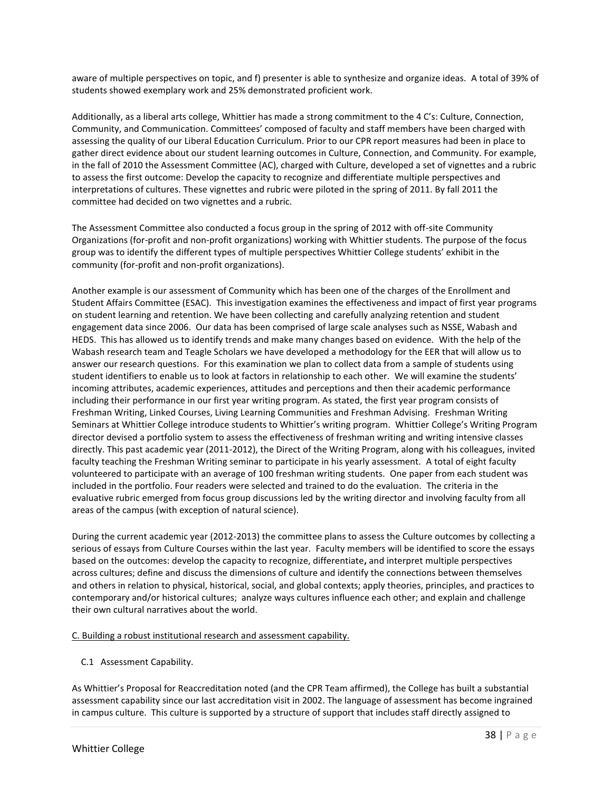aware of multiple perspectives on topic, and f) presenter is able to synthesize and organize ideas. A total of 39% of students showed exemplary work and 25% demonstrated proficient work.

Additionally, as a liberal arts college, Whittier has made a strong commitment to the 4 C's: Culture, Connection, Community, and Communication. Committees' composed of faculty and staff members have been charged with assessing the quality of our Liberal Education Curriculum. Prior to our CPR report measures had been in place to gather direct evidence about our student learning outcomes in Culture, Connection, and Community. For example, in the fall of 2010 the Assessment Committee (AC), charged with Culture, developed a set of vignettes and a rubric to assess the first outcome: Develop the capacity to recognize and differentiate multiple perspectives and interpretations of cultures. These vignettes and rubric were piloted in the spring of 2011. By fall 2011 the committee had decided on two vignettes and a rubric.

The Assessment Committee also conducted a focus group in the spring of 2012 with off-site Community Organizations (for-profit and non-profit organizations) working with Whittier students. The purpose of the focus group was to identify the different types of multiple perspectives Whittier College students' exhibit in the community (for-profit and non-profit organizations).

Another example is our assessment of Community which has been one of the charges of the Enrollment and Student Affairs Committee (ESAC). This investigation examines the effectiveness and impact of first year programs on student learning and retention. We have been collecting and carefully analyzing retention and student engagement data since 2006. Our data has been comprised of large scale analyses such as NSSE, Wabash and HEDS. This has allowed us to identify trends and make many changes based on evidence. With the help of the Wabash research team and Teagle Scholars we have developed a methodology for the EER that will allow us to answer our research questions. For this examination we plan to collect data from a sample of students using student identifiers to enable us to look at factors in relationship to each other. We will examine the students' incoming attributes, academic experiences, attitudes and perceptions and then their academic performance including their performance in our first year writing program. As stated, the first year program consists of Freshman Writing, Linked Courses, Living Learning Communities and Freshman Advising. Freshman Writing Seminars at Whittier College introduce students to Whittier's writing program. Whittier College's Writing Program director devised a portfolio system to assess the effectiveness of freshman writing and writing intensive classes directly. This past academic year (2011-2012), the Direct of the Writing Program, along with his colleagues, invited faculty teaching the Freshman Writing seminar to participate in his yearly assessment. A total of eight faculty volunteered to participate with an average of 100 freshman writing students. One paper from each student was included in the portfolio. Four readers were selected and trained to do the evaluation. The criteria in the evaluative rubric emerged from focus group discussions led by the writing director and involving faculty from all areas of the campus (with exception of natural science).

During the current academic year (2012-2013) the committee plans to assess the Culture outcomes by collecting a serious of essays from Culture Courses within the last year. Faculty members will be identified to score the essays based on the outcomes: develop the capacity to recognize, differentiate**,** and interpret multiple perspectives across cultures; define and discuss the dimensions of culture and identify the connections between themselves and others in relation to physical, historical, social, and global contexts; apply theories, principles, and practices to contemporary and/or historical cultures; analyze ways cultures influence each other; and explain and challenge their own cultural narratives about the world.

# C. Building a robust institutional research and assessment capability.

C.1 Assessment Capability.

As Whittier's Proposal for Reaccreditation noted (and the CPR Team affirmed), the College has built a substantial assessment capability since our last accreditation visit in 2002. The language of assessment has become ingrained in campus culture. This culture is supported by a structure of support that includes staff directly assigned to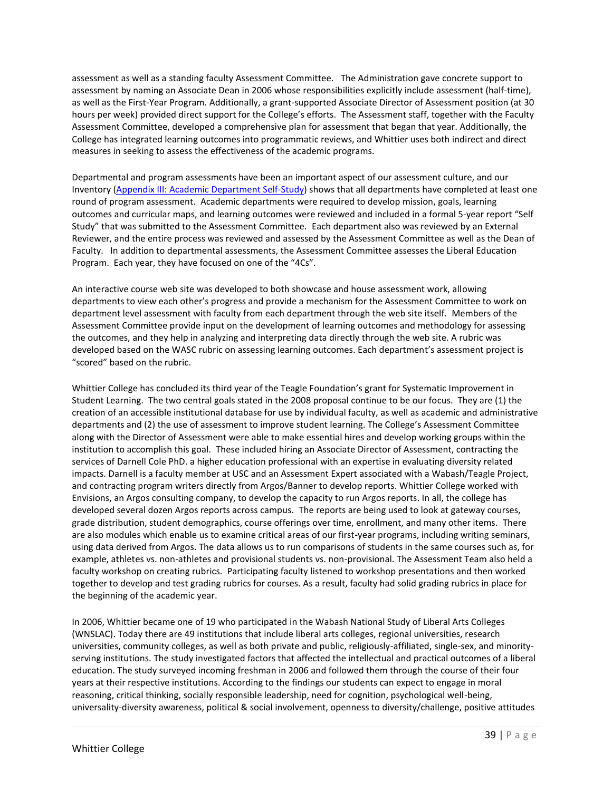assessment as well as a standing faculty Assessment Committee. The Administration gave concrete support to assessment by naming an Associate Dean in 2006 whose responsibilities explicitly include assessment (half-time), as well as the First-Year Program*.* Additionally, a grant-supported Associate Director of Assessment position (at 30 hours per week) provided direct support for the College's efforts. The Assessment staff, together with the Faculty Assessment Committee, developed a comprehensive plan for assessment that began that year. Additionally, the College has integrated learning outcomes into programmatic reviews, and Whittier uses both indirect and direct measures in seeking to assess the effectiveness of the academic programs.

Departmental and program assessments have been an important aspect of our assessment culture, and our Inventory (Appendix III: Academic Department Self-Study) shows that all departments have completed at least one round of program assessment. Academic departments were required to develop mission, goals, learning outcomes and curricular maps, and learning outcomes were reviewed and included in a formal 5-year report "Self Study" that was submitted to the Assessment Committee. Each department also was reviewed by an External Reviewer, and the entire process was reviewed and assessed by the Assessment Committee as well as the Dean of Faculty. In addition to departmental assessments, the Assessment Committee assesses the Liberal Education Program. Each year, they have focused on one of the "4Cs".

An interactive course web site was developed to both showcase and house assessment work, allowing departments to view each other's progress and provide a mechanism for the Assessment Committee to work on department level assessment with faculty from each department through the web site itself. Members of the Assessment Committee provide input on the development of learning outcomes and methodology for assessing the outcomes, and they help in analyzing and interpreting data directly through the web site. A rubric was developed based on the WASC rubric on assessing learning outcomes. Each department's assessment project is "scored" based on the rubric.

Whittier College has concluded its third year of the Teagle Foundation's grant for Systematic Improvement in Student Learning. The two central goals stated in the 2008 proposal continue to be our focus. They are (1) the creation of an accessible institutional database for use by individual faculty, as well as academic and administrative departments and (2) the use of assessment to improve student learning. The College's Assessment Committee along with the Director of Assessment were able to make essential hires and develop working groups within the institution to accomplish this goal. These included hiring an Associate Director of Assessment, contracting the services of Darnell Cole PhD. a higher education professional with an expertise in evaluating diversity related impacts. Darnell is a faculty member at USC and an Assessment Expert associated with a Wabash/Teagle Project, and contracting program writers directly from Argos/Banner to develop reports. Whittier College worked with Envisions, an Argos consulting company, to develop the capacity to run Argos reports. In all, the college has developed several dozen Argos reports across campus. The reports are being used to look at gateway courses, grade distribution, student demographics, course offerings over time, enrollment, and many other items. There are also modules which enable us to examine critical areas of our first-year programs, including writing seminars, using data derived from Argos. The data allows us to run comparisons of students in the same courses such as, for example, athletes vs. non-athletes and provisional students vs. non-provisional. The Assessment Team also held a faculty workshop on creating rubrics. Participating faculty listened to workshop presentations and then worked together to develop and test grading rubrics for courses. As a result, faculty had solid grading rubrics in place for the beginning of the academic year.

In 2006, Whittier became one of 19 who participated in the Wabash National Study of Liberal Arts Colleges (WNSLAC). Today there are 49 institutions that include liberal arts colleges, regional universities, research universities, community colleges, as well as both private and public, religiously-affiliated, single-sex, and minorityserving institutions. The study investigated factors that affected the intellectual and practical outcomes of a liberal education. The study surveyed incoming freshman in 2006 and followed them through the course of their four years at their respective institutions. According to the findings our students can expect to engage in moral reasoning, critical thinking, socially responsible leadership, need for cognition, psychological well-being, universality-diversity awareness, political & social involvement, openness to diversity/challenge, positive attitudes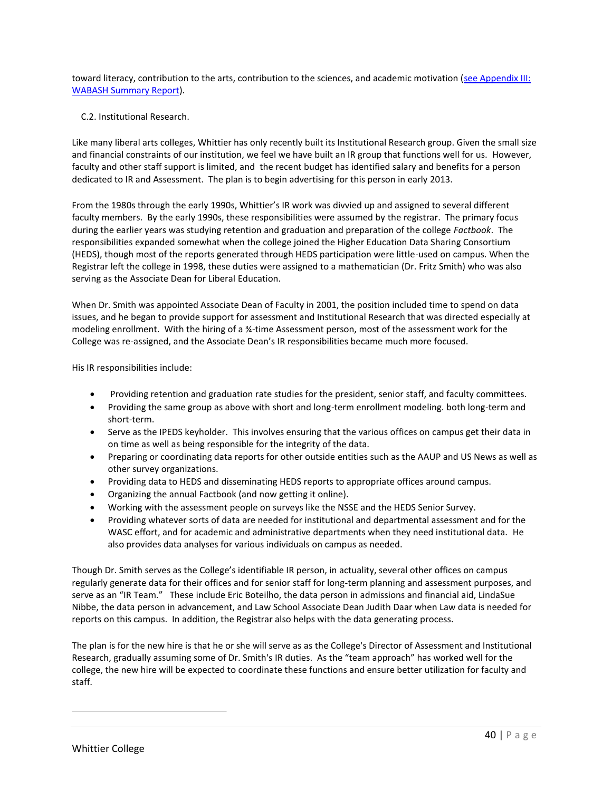toward literacy, contribution to the arts, contribution to the sciences, and academic motivation (see Appendix III: WABASH Summary Report).

# C.2. Institutional Research.

Like many liberal arts colleges, Whittier has only recently built its Institutional Research group. Given the small size and financial constraints of our institution, we feel we have built an IR group that functions well for us. However, faculty and other staff support is limited, and the recent budget has identified salary and benefits for a person dedicated to IR and Assessment. The plan is to begin advertising for this person in early 2013.

From the 1980s through the early 1990s, Whittier's IR work was divvied up and assigned to several different faculty members. By the early 1990s, these responsibilities were assumed by the registrar. The primary focus during the earlier years was studying retention and graduation and preparation of the college *Factbook*. The responsibilities expanded somewhat when the college joined the Higher Education Data Sharing Consortium (HEDS), though most of the reports generated through HEDS participation were little-used on campus. When the Registrar left the college in 1998, these duties were assigned to a mathematician (Dr. Fritz Smith) who was also serving as the Associate Dean for Liberal Education.

When Dr. Smith was appointed Associate Dean of Faculty in 2001, the position included time to spend on data issues, and he began to provide support for assessment and Institutional Research that was directed especially at modeling enrollment. With the hiring of a ¾-time Assessment person, most of the assessment work for the College was re-assigned, and the Associate Dean's IR responsibilities became much more focused.

His IR responsibilities include:

- Providing retention and graduation rate studies for the president, senior staff, and faculty committees.
- Providing the same group as above with short and long-term enrollment modeling. both long-term and short-term.
- Serve as the IPEDS keyholder. This involves ensuring that the various offices on campus get their data in on time as well as being responsible for the integrity of the data.
- Preparing or coordinating data reports for other outside entities such as the AAUP and US News as well as other survey organizations.
- Providing data to HEDS and disseminating HEDS reports to appropriate offices around campus.
- Organizing the annual Factbook (and now getting it online).
- Working with the assessment people on surveys like the NSSE and the HEDS Senior Survey.
- Providing whatever sorts of data are needed for institutional and departmental assessment and for the WASC effort, and for academic and administrative departments when they need institutional data. He also provides data analyses for various individuals on campus as needed.

Though Dr. Smith serves as the College's identifiable IR person, in actuality, several other offices on campus regularly generate data for their offices and for senior staff for long-term planning and assessment purposes, and serve as an "IR Team." These include Eric Boteilho, the data person in admissions and financial aid, LindaSue Nibbe, the data person in advancement, and Law School Associate Dean Judith Daar when Law data is needed for reports on this campus. In addition, the Registrar also helps with the data generating process.

The plan is for the new hire is that he or she will serve as as the College's Director of Assessment and Institutional Research, gradually assuming some of Dr. Smith's IR duties. As the "team approach" has worked well for the college, the new hire will be expected to coordinate these functions and ensure better utilization for faculty and staff.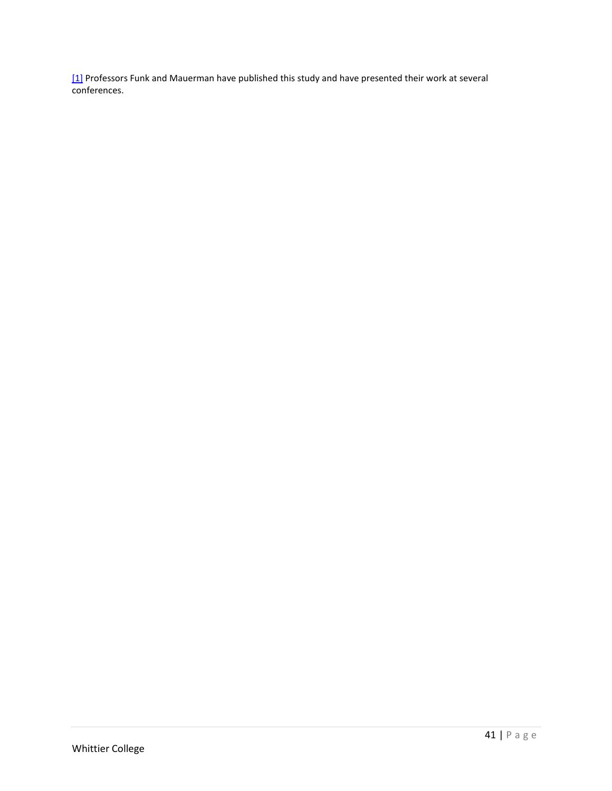$[1]$  Professors Funk and Mauerman have published this study and have presented their work at several conferences.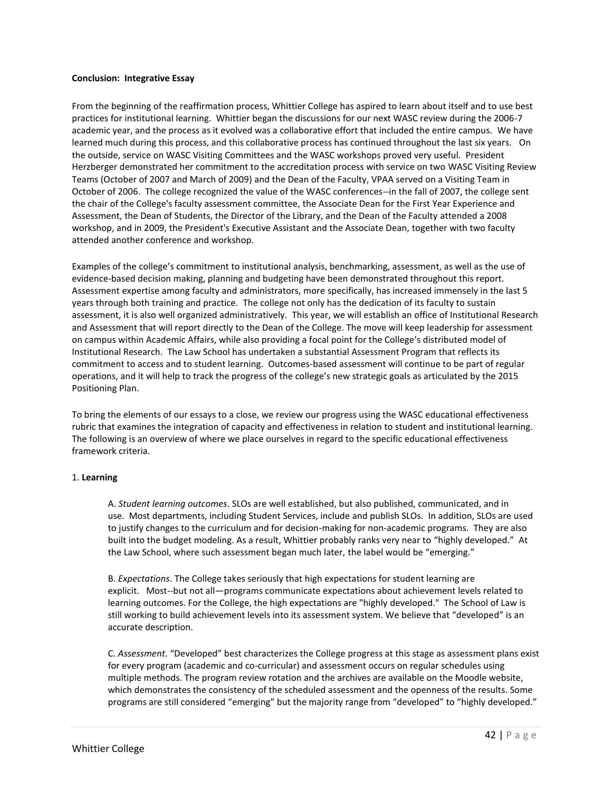#### **Conclusion: Integrative Essay**

From the beginning of the reaffirmation process, Whittier College has aspired to learn about itself and to use best practices for institutional learning. Whittier began the discussions for our next WASC review during the 2006-7 academic year, and the process as it evolved was a collaborative effort that included the entire campus. We have learned much during this process, and this collaborative process has continued throughout the last six years. On the outside, service on WASC Visiting Committees and the WASC workshops proved very useful. President Herzberger demonstrated her commitment to the accreditation process with service on two WASC Visiting Review Teams (October of 2007 and March of 2009) and the Dean of the Faculty, VPAA served on a Visiting Team in October of 2006. The college recognized the value of the WASC conferences--in the fall of 2007, the college sent the chair of the College's faculty assessment committee, the Associate Dean for the First Year Experience and Assessment, the Dean of Students, the Director of the Library, and the Dean of the Faculty attended a 2008 workshop, and in 2009, the President's Executive Assistant and the Associate Dean, together with two faculty attended another conference and workshop.

Examples of the college's commitment to institutional analysis, benchmarking, assessment, as well as the use of evidence-based decision making, planning and budgeting have been demonstrated throughout this report. Assessment expertise among faculty and administrators, more specifically, has increased immensely in the last 5 years through both training and practice. The college not only has the dedication of its faculty to sustain assessment, it is also well organized administratively. This year, we will establish an office of Institutional Research and Assessment that will report directly to the Dean of the College. The move will keep leadership for assessment on campus within Academic Affairs, while also providing a focal point for the College's distributed model of Institutional Research. The Law School has undertaken a substantial Assessment Program that reflects its commitment to access and to student learning. Outcomes-based assessment will continue to be part of regular operations, and it will help to track the progress of the college's new strategic goals as articulated by the 2015 Positioning Plan.

To bring the elements of our essays to a close, we review our progress using the WASC educational effectiveness rubric that examines the integration of capacity and effectiveness in relation to student and institutional learning. The following is an overview of where we place ourselves in regard to the specific educational effectiveness framework criteria.

#### 1. **Learning**

A. *Student learning outcomes*. SLOs are well established, but also published, communicated, and in use. Most departments, including Student Services, include and publish SLOs. In addition, SLOs are used to justify changes to the curriculum and for decision-making for non-academic programs. They are also built into the budget modeling. As a result, Whittier probably ranks very near to "highly developed." At the Law School, where such assessment began much later, the label would be "emerging."

B. *Expectations*. The College takes seriously that high expectations for student learning are explicit. Most--but not all—programs communicate expectations about achievement levels related to learning outcomes. For the College, the high expectations are "highly developed." The School of Law is still working to build achievement levels into its assessment system. We believe that "developed" is an accurate description.

C. *Assessment*. "Developed" best characterizes the College progress at this stage as assessment plans exist for every program (academic and co-curricular) and assessment occurs on regular schedules using multiple methods. The program review rotation and the archives are available on the Moodle website, which demonstrates the consistency of the scheduled assessment and the openness of the results. Some programs are still considered "emerging" but the majority range from "developed" to "highly developed."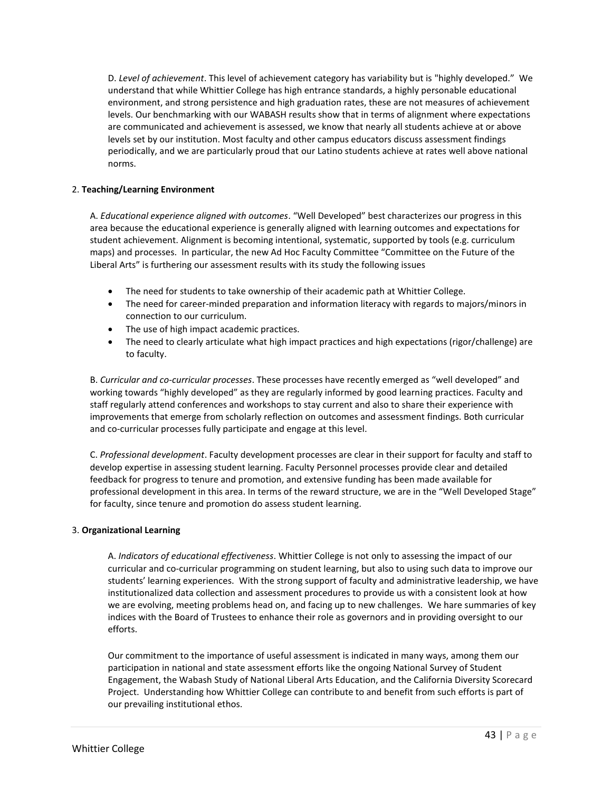D. *Level of achievement*. This level of achievement category has variability but is "highly developed." We understand that while Whittier College has high entrance standards, a highly personable educational environment, and strong persistence and high graduation rates, these are not measures of achievement levels. Our benchmarking with our WABASH results show that in terms of alignment where expectations are communicated and achievement is assessed, we know that nearly all students achieve at or above levels set by our institution. Most faculty and other campus educators discuss assessment findings periodically, and we are particularly proud that our Latino students achieve at rates well above national norms.

# 2. **Teaching/Learning Environment**

A. *Educational experience aligned with outcomes*. "Well Developed" best characterizes our progress in this area because the educational experience is generally aligned with learning outcomes and expectations for student achievement. Alignment is becoming intentional, systematic, supported by tools (e.g. curriculum maps) and processes. In particular, the new Ad Hoc Faculty Committee "Committee on the Future of the Liberal Arts" is furthering our assessment results with its study the following issues

- The need for students to take ownership of their academic path at Whittier College.
- The need for career-minded preparation and information literacy with regards to majors/minors in connection to our curriculum.
- The use of high impact academic practices.
- The need to clearly articulate what high impact practices and high expectations (rigor/challenge) are to faculty.

B. *Curricular and co-curricular processes*. These processes have recently emerged as "well developed" and working towards "highly developed" as they are regularly informed by good learning practices. Faculty and staff regularly attend conferences and workshops to stay current and also to share their experience with improvements that emerge from scholarly reflection on outcomes and assessment findings. Both curricular and co-curricular processes fully participate and engage at this level.

C. *Professional development*. Faculty development processes are clear in their support for faculty and staff to develop expertise in assessing student learning. Faculty Personnel processes provide clear and detailed feedback for progress to tenure and promotion, and extensive funding has been made available for professional development in this area. In terms of the reward structure, we are in the "Well Developed Stage" for faculty, since tenure and promotion do assess student learning.

# 3. **Organizational Learning**

A. *Indicators of educational effectiveness*. Whittier College is not only to assessing the impact of our curricular and co-curricular programming on student learning, but also to using such data to improve our students' learning experiences. With the strong support of faculty and administrative leadership, we have institutionalized data collection and assessment procedures to provide us with a consistent look at how we are evolving, meeting problems head on, and facing up to new challenges. We hare summaries of key indices with the Board of Trustees to enhance their role as governors and in providing oversight to our efforts.

Our commitment to the importance of useful assessment is indicated in many ways, among them our participation in national and state assessment efforts like the ongoing National Survey of Student Engagement, the Wabash Study of National Liberal Arts Education, and the California Diversity Scorecard Project. Understanding how Whittier College can contribute to and benefit from such efforts is part of our prevailing institutional ethos.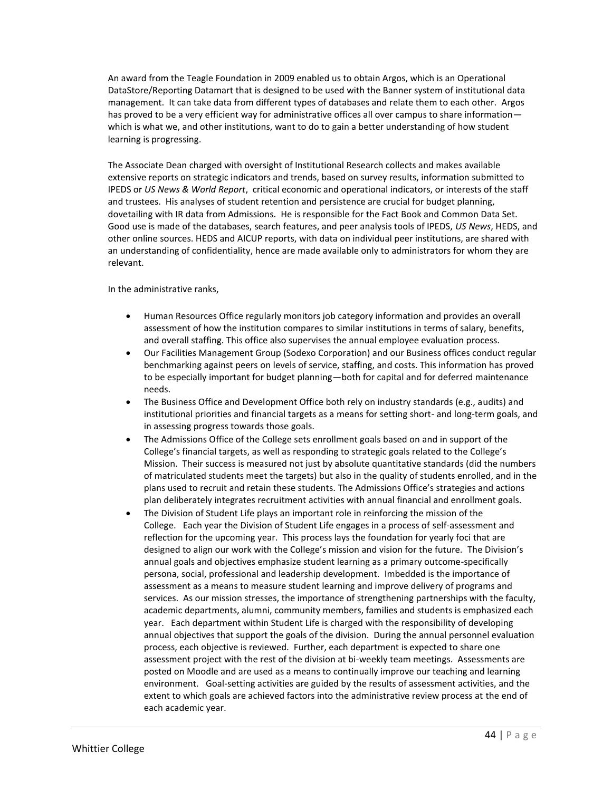An award from the Teagle Foundation in 2009 enabled us to obtain Argos, which is an Operational DataStore/Reporting Datamart that is designed to be used with the Banner system of institutional data management. It can take data from different types of databases and relate them to each other. Argos has proved to be a very efficient way for administrative offices all over campus to share informationwhich is what we, and other institutions, want to do to gain a better understanding of how student learning is progressing.

The Associate Dean charged with oversight of Institutional Research collects and makes available extensive reports on strategic indicators and trends, based on survey results, information submitted to IPEDS or *US News & World Report*, critical economic and operational indicators, or interests of the staff and trustees. His analyses of student retention and persistence are crucial for budget planning, dovetailing with IR data from Admissions. He is responsible for the Fact Book and Common Data Set. Good use is made of the databases, search features, and peer analysis tools of IPEDS, *US News*, HEDS, and other online sources. HEDS and AICUP reports, with data on individual peer institutions, are shared with an understanding of confidentiality, hence are made available only to administrators for whom they are relevant.

In the administrative ranks,

- Human Resources Office regularly monitors job category information and provides an overall assessment of how the institution compares to similar institutions in terms of salary, benefits, and overall staffing. This office also supervises the annual employee evaluation process.
- Our Facilities Management Group (Sodexo Corporation) and our Business offices conduct regular benchmarking against peers on levels of service, staffing, and costs. This information has proved to be especially important for budget planning—both for capital and for deferred maintenance needs.
- The Business Office and Development Office both rely on industry standards (e.g., audits) and institutional priorities and financial targets as a means for setting short- and long-term goals, and in assessing progress towards those goals.
- The Admissions Office of the College sets enrollment goals based on and in support of the College's financial targets, as well as responding to strategic goals related to the College's Mission. Their success is measured not just by absolute quantitative standards (did the numbers of matriculated students meet the targets) but also in the quality of students enrolled, and in the plans used to recruit and retain these students. The Admissions Office's strategies and actions plan deliberately integrates recruitment activities with annual financial and enrollment goals.
- The Division of Student Life plays an important role in reinforcing the mission of the College. Each year the Division of Student Life engages in a process of self-assessment and reflection for the upcoming year. This process lays the foundation for yearly foci that are designed to align our work with the College's mission and vision for the future. The Division's annual goals and objectives emphasize student learning as a primary outcome-specifically persona, social, professional and leadership development. Imbedded is the importance of assessment as a means to measure student learning and improve delivery of programs and services. As our mission stresses, the importance of strengthening partnerships with the faculty, academic departments, alumni, community members, families and students is emphasized each year. Each department within Student Life is charged with the responsibility of developing annual objectives that support the goals of the division. During the annual personnel evaluation process, each objective is reviewed. Further, each department is expected to share one assessment project with the rest of the division at bi-weekly team meetings. Assessments are posted on Moodle and are used as a means to continually improve our teaching and learning environment. Goal-setting activities are guided by the results of assessment activities, and the extent to which goals are achieved factors into the administrative review process at the end of each academic year.